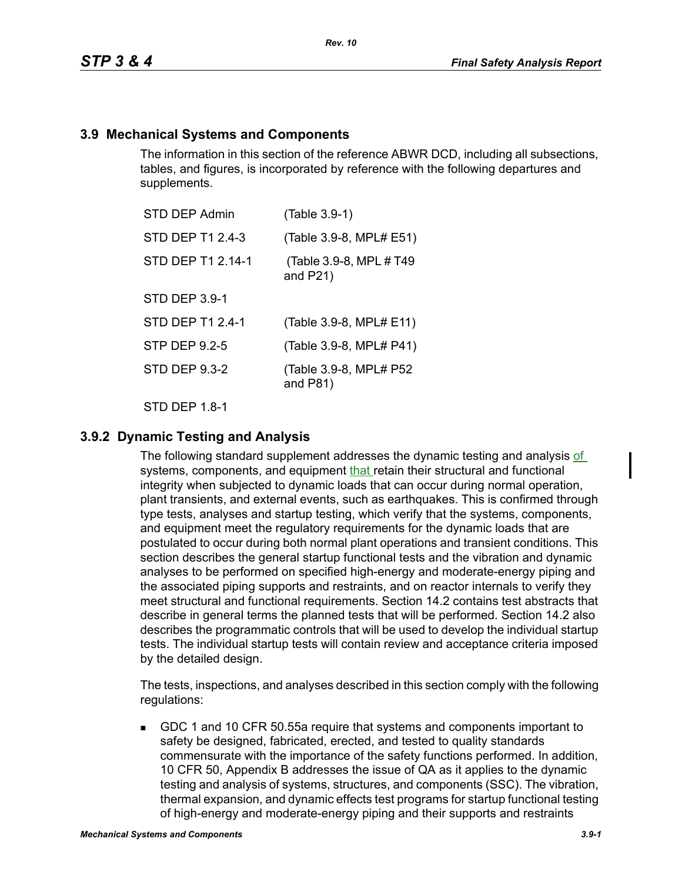### **3.9 Mechanical Systems and Components**

The information in this section of the reference ABWR DCD, including all subsections, tables, and figures, is incorporated by reference with the following departures and supplements.

| STD DEP Admin        | (Table 3.9-1)                           |
|----------------------|-----------------------------------------|
| STD DEP T1 2.4-3     | (Table 3.9-8, MPL# E51)                 |
| STD DEP T1 2.14-1    | (Table 3.9-8, MPL # T49)<br>and $P21$ ) |
| <b>STD DEP 3.9-1</b> |                                         |
| STD DEP T1 2.4-1     | (Table 3.9-8, MPL# E11)                 |
| STP DEP 9.2-5        | (Table 3.9-8, MPL# P41)                 |
| STD DEP 9.3-2        | (Table 3.9-8, MPL# P52<br>and $P81$ )   |
|                      |                                         |

STD DFP 18-1

### **3.9.2 Dynamic Testing and Analysis**

The following standard supplement addresses the dynamic testing and analysis of systems, components, and equipment that retain their structural and functional integrity when subjected to dynamic loads that can occur during normal operation, plant transients, and external events, such as earthquakes. This is confirmed through type tests, analyses and startup testing, which verify that the systems, components, and equipment meet the regulatory requirements for the dynamic loads that are postulated to occur during both normal plant operations and transient conditions. This section describes the general startup functional tests and the vibration and dynamic analyses to be performed on specified high-energy and moderate-energy piping and the associated piping supports and restraints, and on reactor internals to verify they meet structural and functional requirements. Section 14.2 contains test abstracts that describe in general terms the planned tests that will be performed. Section 14.2 also describes the programmatic controls that will be used to develop the individual startup tests. The individual startup tests will contain review and acceptance criteria imposed by the detailed design.

The tests, inspections, and analyses described in this section comply with the following regulations:

 GDC 1 and 10 CFR 50.55a require that systems and components important to safety be designed, fabricated, erected, and tested to quality standards commensurate with the importance of the safety functions performed. In addition, 10 CFR 50, Appendix B addresses the issue of QA as it applies to the dynamic testing and analysis of systems, structures, and components (SSC). The vibration, thermal expansion, and dynamic effects test programs for startup functional testing of high-energy and moderate-energy piping and their supports and restraints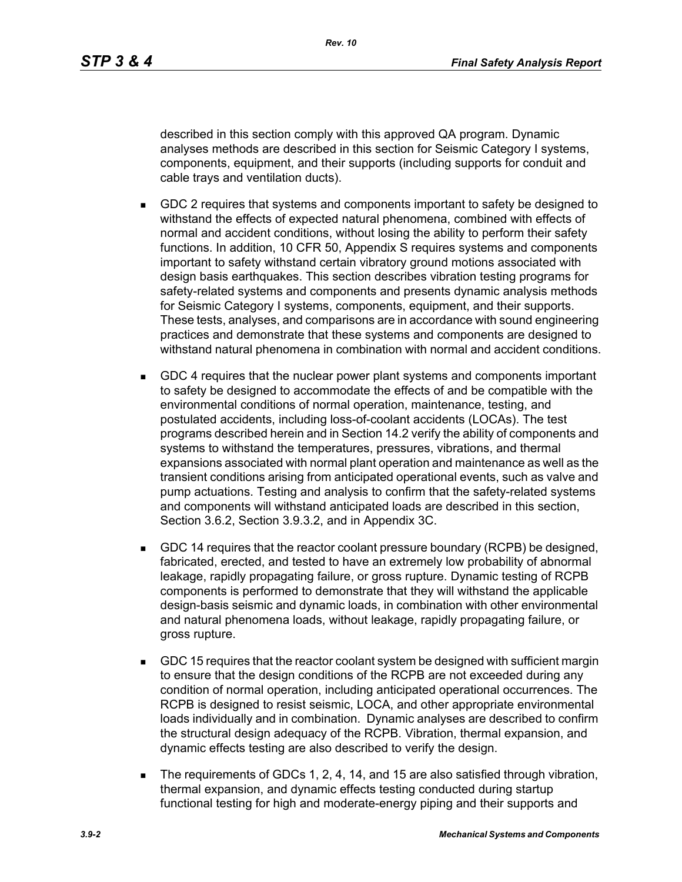described in this section comply with this approved QA program. Dynamic analyses methods are described in this section for Seismic Category I systems, components, equipment, and their supports (including supports for conduit and cable trays and ventilation ducts).

- GDC 2 requires that systems and components important to safety be designed to withstand the effects of expected natural phenomena, combined with effects of normal and accident conditions, without losing the ability to perform their safety functions. In addition, 10 CFR 50, Appendix S requires systems and components important to safety withstand certain vibratory ground motions associated with design basis earthquakes. This section describes vibration testing programs for safety-related systems and components and presents dynamic analysis methods for Seismic Category I systems, components, equipment, and their supports. These tests, analyses, and comparisons are in accordance with sound engineering practices and demonstrate that these systems and components are designed to withstand natural phenomena in combination with normal and accident conditions.
- GDC 4 requires that the nuclear power plant systems and components important to safety be designed to accommodate the effects of and be compatible with the environmental conditions of normal operation, maintenance, testing, and postulated accidents, including loss-of-coolant accidents (LOCAs). The test programs described herein and in Section 14.2 verify the ability of components and systems to withstand the temperatures, pressures, vibrations, and thermal expansions associated with normal plant operation and maintenance as well as the transient conditions arising from anticipated operational events, such as valve and pump actuations. Testing and analysis to confirm that the safety-related systems and components will withstand anticipated loads are described in this section, Section 3.6.2, Section 3.9.3.2, and in Appendix 3C.
- GDC 14 requires that the reactor coolant pressure boundary (RCPB) be designed, fabricated, erected, and tested to have an extremely low probability of abnormal leakage, rapidly propagating failure, or gross rupture. Dynamic testing of RCPB components is performed to demonstrate that they will withstand the applicable design-basis seismic and dynamic loads, in combination with other environmental and natural phenomena loads, without leakage, rapidly propagating failure, or gross rupture.
- GDC 15 requires that the reactor coolant system be designed with sufficient margin to ensure that the design conditions of the RCPB are not exceeded during any condition of normal operation, including anticipated operational occurrences. The RCPB is designed to resist seismic, LOCA, and other appropriate environmental loads individually and in combination. Dynamic analyses are described to confirm the structural design adequacy of the RCPB. Vibration, thermal expansion, and dynamic effects testing are also described to verify the design.
- The requirements of GDCs 1, 2, 4, 14, and 15 are also satisfied through vibration, thermal expansion, and dynamic effects testing conducted during startup functional testing for high and moderate-energy piping and their supports and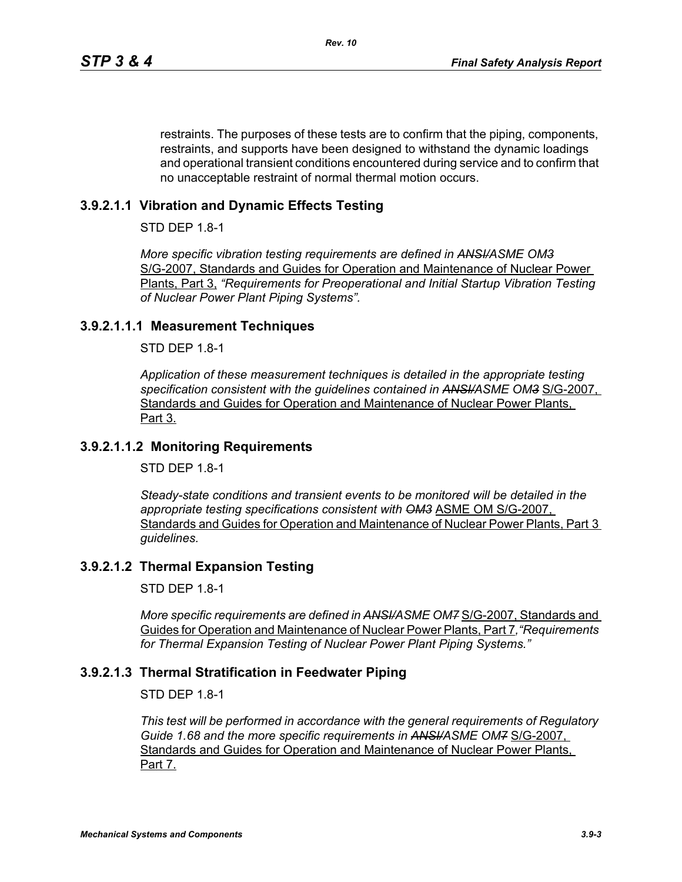restraints. The purposes of these tests are to confirm that the piping, components, restraints, and supports have been designed to withstand the dynamic loadings and operational transient conditions encountered during service and to confirm that no unacceptable restraint of normal thermal motion occurs.

# **3.9.2.1.1 Vibration and Dynamic Effects Testing**

STD DEP 1.8-1

*More specific vibration testing requirements are defined in ANSI/ASME OM3* S/G-2007, Standards and Guides for Operation and Maintenance of Nuclear Power Plants, Part 3, *"Requirements for Preoperational and Initial Startup Vibration Testing of Nuclear Power Plant Piping Systems".*

## **3.9.2.1.1.1 Measurement Techniques**

STD DEP 1.8-1

*Application of these measurement techniques is detailed in the appropriate testing specification consistent with the guidelines contained in ANSI/ASME OM3* S/G-2007, Standards and Guides for Operation and Maintenance of Nuclear Power Plants, Part 3.

## **3.9.2.1.1.2 Monitoring Requirements**

 $STD$  DFP 1.8-1

*Steady-state conditions and transient events to be monitored will be detailed in the appropriate testing specifications consistent with OM3* ASME OM S/G-2007, Standards and Guides for Operation and Maintenance of Nuclear Power Plants. Part 3 *guidelines.*

## **3.9.2.1.2 Thermal Expansion Testing**

STD DEP 1.8-1

*More specific requirements are defined in ANSHASME OM7 S/G-2007, Standards and* Guides for Operation and Maintenance of Nuclear Power Plants, Part 7*,"Requirements for Thermal Expansion Testing of Nuclear Power Plant Piping Systems."*

## **3.9.2.1.3 Thermal Stratification in Feedwater Piping**

STD DEP 1.8-1

*This test will be performed in accordance with the general requirements of Regulatory*  Guide 1.68 and the more specific requirements in ANSI/ASME OM7 S/G-2007, Standards and Guides for Operation and Maintenance of Nuclear Power Plants, Part 7.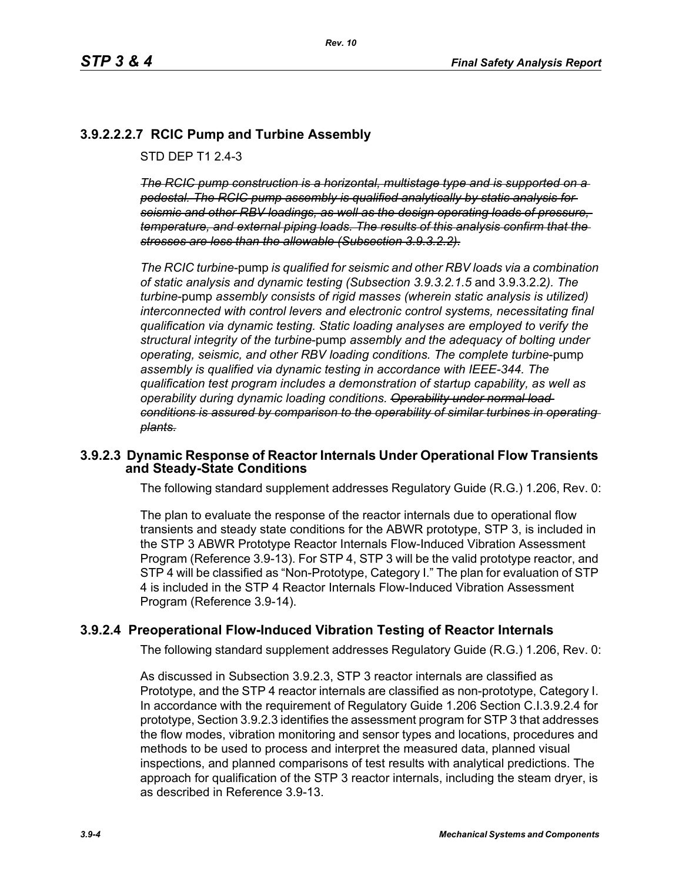# **3.9.2.2.2.7 RCIC Pump and Turbine Assembly**

STD DFP T1 2 4-3

*The RCIC pump construction is a horizontal, multistage type and is supported on a pedestal. The RCIC pump assembly is qualified analytically by static analysis for seismic and other RBV loadings, as well as the design operating loads of pressure, temperature, and external piping loads. The results of this analysis confirm that the stresses are less than the allowable (Subsection 3.9.3.2.2).*

*The RCIC turbine*-pump *is qualified for seismic and other RBV loads via a combination of static analysis and dynamic testing (Subsection 3.9.3.2.1.5* and 3.9.3.2.2*). The turbine*-pump *assembly consists of rigid masses (wherein static analysis is utilized) interconnected with control levers and electronic control systems, necessitating final qualification via dynamic testing. Static loading analyses are employed to verify the structural integrity of the turbine*-pump *assembly and the adequacy of bolting under operating, seismic, and other RBV loading conditions. The complete turbine*-pump *assembly is qualified via dynamic testing in accordance with IEEE-344. The qualification test program includes a demonstration of startup capability, as well as operability during dynamic loading conditions. Operability under normal load conditions is assured by comparison to the operability of similar turbines in operating plants.*

### **3.9.2.3 Dynamic Response of Reactor Internals Under Operational Flow Transients and Steady-State Conditions**

The following standard supplement addresses Regulatory Guide (R.G.) 1.206, Rev. 0:

The plan to evaluate the response of the reactor internals due to operational flow transients and steady state conditions for the ABWR prototype, STP 3, is included in the STP 3 ABWR Prototype Reactor Internals Flow-Induced Vibration Assessment Program (Reference 3.9-13). For STP 4, STP 3 will be the valid prototype reactor, and STP 4 will be classified as "Non-Prototype, Category I." The plan for evaluation of STP 4 is included in the STP 4 Reactor Internals Flow-Induced Vibration Assessment Program (Reference 3.9-14).

## **3.9.2.4 Preoperational Flow-Induced Vibration Testing of Reactor Internals**

The following standard supplement addresses Regulatory Guide (R.G.) 1.206, Rev. 0:

As discussed in Subsection 3.9.2.3, STP 3 reactor internals are classified as Prototype, and the STP 4 reactor internals are classified as non-prototype, Category I. In accordance with the requirement of Regulatory Guide 1.206 Section C.I.3.9.2.4 for prototype, Section 3.9.2.3 identifies the assessment program for STP 3 that addresses the flow modes, vibration monitoring and sensor types and locations, procedures and methods to be used to process and interpret the measured data, planned visual inspections, and planned comparisons of test results with analytical predictions. The approach for qualification of the STP 3 reactor internals, including the steam dryer, is as described in Reference 3.9-13.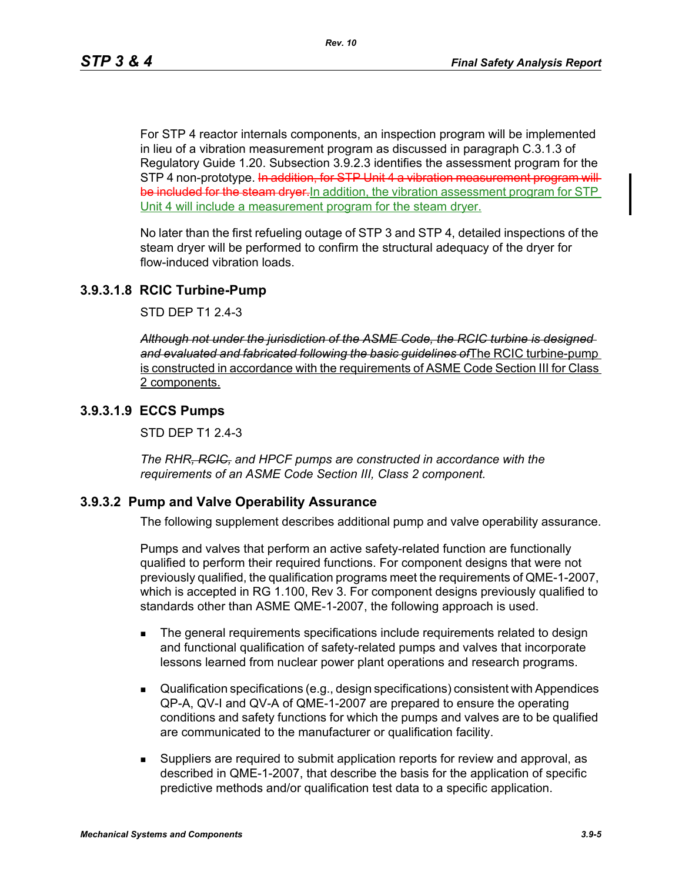For STP 4 reactor internals components, an inspection program will be implemented in lieu of a vibration measurement program as discussed in paragraph C.3.1.3 of Regulatory Guide 1.20. Subsection 3.9.2.3 identifies the assessment program for the STP 4 non-prototype. In addition, for STP Unit 4 a vibration measurement program will be included for the steam dryer. In addition, the vibration assessment program for STP Unit 4 will include a measurement program for the steam dryer.

No later than the first refueling outage of STP 3 and STP 4, detailed inspections of the steam dryer will be performed to confirm the structural adequacy of the dryer for flow-induced vibration loads.

### **3.9.3.1.8 RCIC Turbine-Pump**

STD DEP T1 2.4-3

*Although not under the jurisdiction of the ASME Code, the RCIC turbine is designed and evaluated and fabricated following the basic guidelines of*The RCIC turbine-pump is constructed in accordance with the requirements of ASME Code Section III for Class 2 components.

### **3.9.3.1.9 ECCS Pumps**

STD DEP T1 2.4-3

*The RHR, RCIC, and HPCF pumps are constructed in accordance with the requirements of an ASME Code Section III, Class 2 component.*

### **3.9.3.2 Pump and Valve Operability Assurance**

The following supplement describes additional pump and valve operability assurance.

Pumps and valves that perform an active safety-related function are functionally qualified to perform their required functions. For component designs that were not previously qualified, the qualification programs meet the requirements of QME-1-2007, which is accepted in RG 1.100, Rev 3. For component designs previously qualified to standards other than ASME QME-1-2007, the following approach is used.

- **The general requirements specifications include requirements related to design** and functional qualification of safety-related pumps and valves that incorporate lessons learned from nuclear power plant operations and research programs.
- Qualification specifications (e.g., design specifications) consistent with Appendices QP-A, QV-I and QV-A of QME-1-2007 are prepared to ensure the operating conditions and safety functions for which the pumps and valves are to be qualified are communicated to the manufacturer or qualification facility.
- Suppliers are required to submit application reports for review and approval, as described in QME-1-2007, that describe the basis for the application of specific predictive methods and/or qualification test data to a specific application.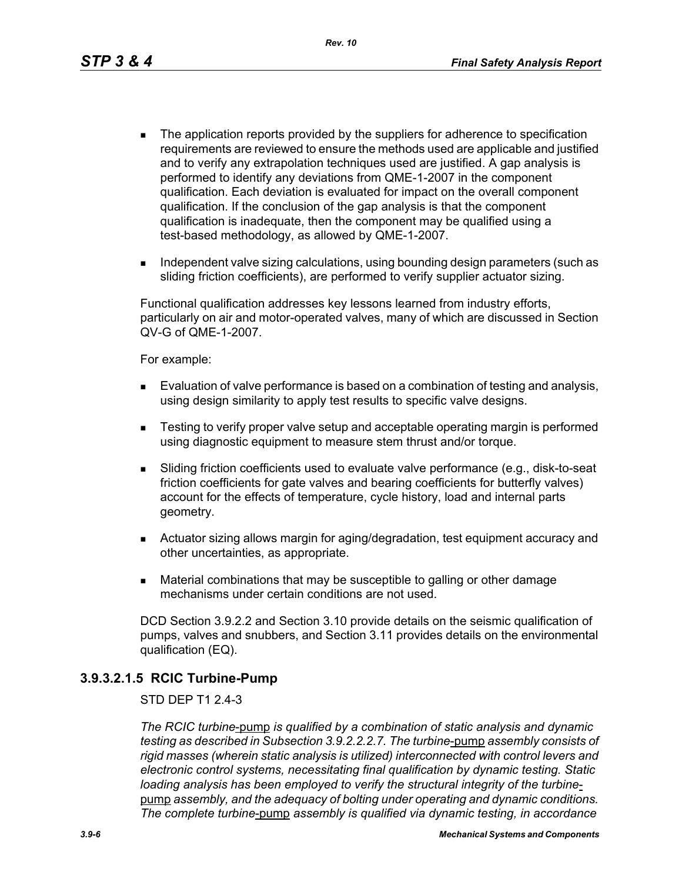*Rev. 10*

- The application reports provided by the suppliers for adherence to specification requirements are reviewed to ensure the methods used are applicable and justified and to verify any extrapolation techniques used are justified. A gap analysis is performed to identify any deviations from QME-1-2007 in the component qualification. Each deviation is evaluated for impact on the overall component qualification. If the conclusion of the gap analysis is that the component qualification is inadequate, then the component may be qualified using a test-based methodology, as allowed by QME-1-2007.
- Independent valve sizing calculations, using bounding design parameters (such as sliding friction coefficients), are performed to verify supplier actuator sizing.

Functional qualification addresses key lessons learned from industry efforts, particularly on air and motor-operated valves, many of which are discussed in Section QV-G of QME-1-2007.

For example:

- **Evaluation of valve performance is based on a combination of testing and analysis,** using design similarity to apply test results to specific valve designs.
- **EXECT** Testing to verify proper valve setup and acceptable operating margin is performed using diagnostic equipment to measure stem thrust and/or torque.
- Sliding friction coefficients used to evaluate valve performance (e.g., disk-to-seat friction coefficients for gate valves and bearing coefficients for butterfly valves) account for the effects of temperature, cycle history, load and internal parts geometry.
- Actuator sizing allows margin for aging/degradation, test equipment accuracy and other uncertainties, as appropriate.
- Material combinations that may be susceptible to galling or other damage mechanisms under certain conditions are not used.

DCD Section 3.9.2.2 and Section 3.10 provide details on the seismic qualification of pumps, valves and snubbers, and Section 3.11 provides details on the environmental qualification (EQ).

### **3.9.3.2.1.5 RCIC Turbine-Pump**

#### STD DEP T1 2.4-3

*The RCIC turbine*-pump *is qualified by a combination of static analysis and dynamic testing as described in Subsection 3.9.2.2.2.7. The turbine*-pump *assembly consists of rigid masses (wherein static analysis is utilized) interconnected with control levers and electronic control systems, necessitating final qualification by dynamic testing. Static loading analysis has been employed to verify the structural integrity of the turbine*pump *assembly, and the adequacy of bolting under operating and dynamic conditions. The complete turbine*-pump *assembly is qualified via dynamic testing, in accordance*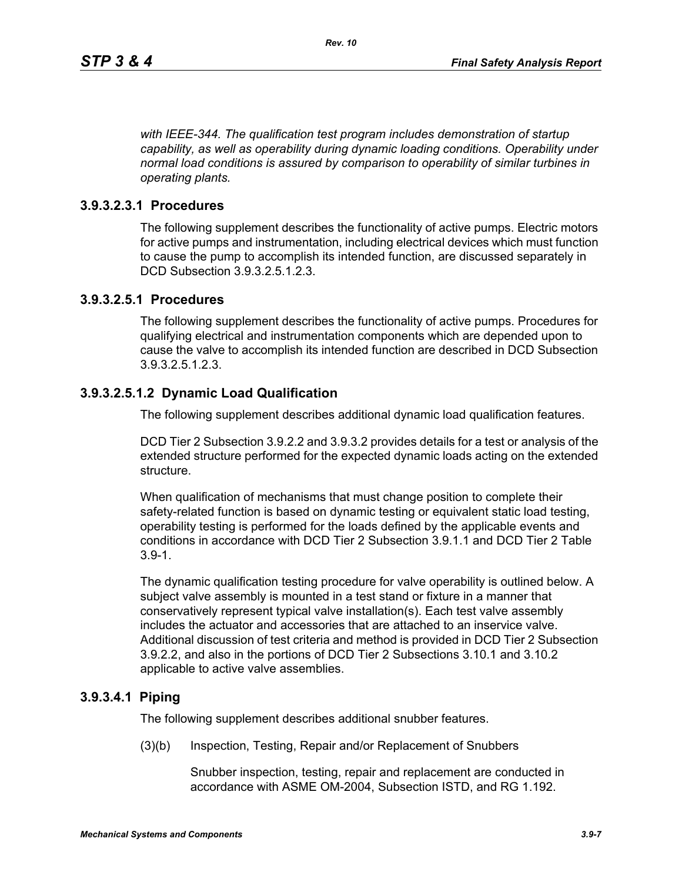*with IEEE-344. The qualification test program includes demonstration of startup capability, as well as operability during dynamic loading conditions. Operability under normal load conditions is assured by comparison to operability of similar turbines in operating plants.*

## **3.9.3.2.3.1 Procedures**

The following supplement describes the functionality of active pumps. Electric motors for active pumps and instrumentation, including electrical devices which must function to cause the pump to accomplish its intended function, are discussed separately in DCD Subsection 3.9.3.2.5.1.2.3.

### **3.9.3.2.5.1 Procedures**

The following supplement describes the functionality of active pumps. Procedures for qualifying electrical and instrumentation components which are depended upon to cause the valve to accomplish its intended function are described in DCD Subsection 3.9.3.2.5.1.2.3.

## **3.9.3.2.5.1.2 Dynamic Load Qualification**

The following supplement describes additional dynamic load qualification features.

DCD Tier 2 Subsection 3.9.2.2 and 3.9.3.2 provides details for a test or analysis of the extended structure performed for the expected dynamic loads acting on the extended structure.

When qualification of mechanisms that must change position to complete their safety-related function is based on dynamic testing or equivalent static load testing, operability testing is performed for the loads defined by the applicable events and conditions in accordance with DCD Tier 2 Subsection 3.9.1.1 and DCD Tier 2 Table 3.9-1.

The dynamic qualification testing procedure for valve operability is outlined below. A subject valve assembly is mounted in a test stand or fixture in a manner that conservatively represent typical valve installation(s). Each test valve assembly includes the actuator and accessories that are attached to an inservice valve. Additional discussion of test criteria and method is provided in DCD Tier 2 Subsection 3.9.2.2, and also in the portions of DCD Tier 2 Subsections 3.10.1 and 3.10.2 applicable to active valve assemblies.

### **3.9.3.4.1 Piping**

The following supplement describes additional snubber features.

(3)(b) Inspection, Testing, Repair and/or Replacement of Snubbers

Snubber inspection, testing, repair and replacement are conducted in accordance with ASME OM-2004, Subsection ISTD, and RG 1.192.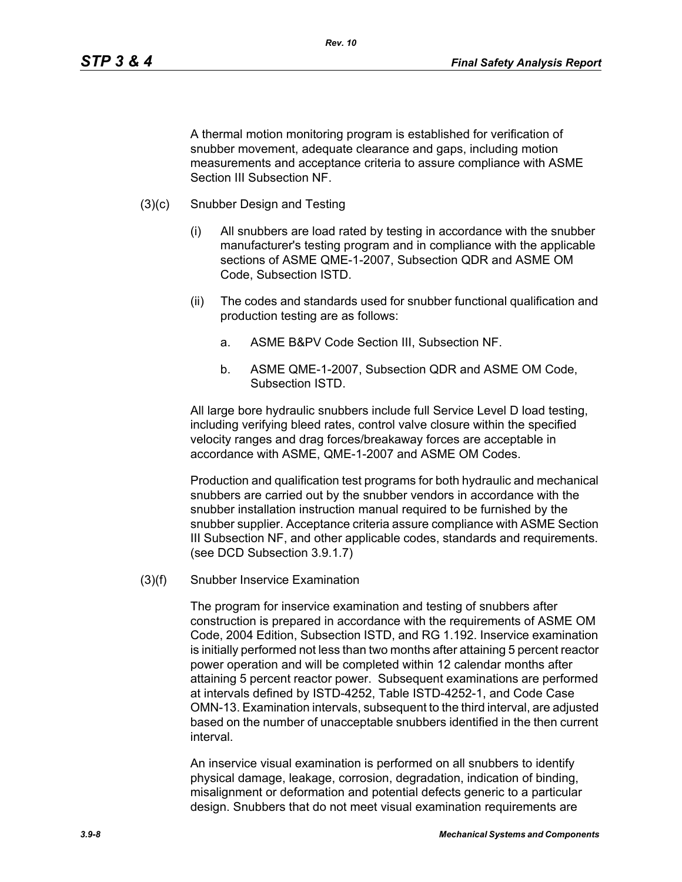A thermal motion monitoring program is established for verification of snubber movement, adequate clearance and gaps, including motion measurements and acceptance criteria to assure compliance with ASME Section III Subsection NF.

- (3)(c) Snubber Design and Testing
	- (i) All snubbers are load rated by testing in accordance with the snubber manufacturer's testing program and in compliance with the applicable sections of ASME QME-1-2007, Subsection QDR and ASME OM Code, Subsection ISTD.
	- (ii) The codes and standards used for snubber functional qualification and production testing are as follows:
		- a. ASME B&PV Code Section III, Subsection NF.
		- b. ASME QME-1-2007, Subsection QDR and ASME OM Code, Subsection ISTD.

All large bore hydraulic snubbers include full Service Level D load testing, including verifying bleed rates, control valve closure within the specified velocity ranges and drag forces/breakaway forces are acceptable in accordance with ASME, QME-1-2007 and ASME OM Codes.

Production and qualification test programs for both hydraulic and mechanical snubbers are carried out by the snubber vendors in accordance with the snubber installation instruction manual required to be furnished by the snubber supplier. Acceptance criteria assure compliance with ASME Section III Subsection NF, and other applicable codes, standards and requirements. (see DCD Subsection 3.9.1.7)

(3)(f) Snubber Inservice Examination

The program for inservice examination and testing of snubbers after construction is prepared in accordance with the requirements of ASME OM Code, 2004 Edition, Subsection ISTD, and RG 1.192. Inservice examination is initially performed not less than two months after attaining 5 percent reactor power operation and will be completed within 12 calendar months after attaining 5 percent reactor power. Subsequent examinations are performed at intervals defined by ISTD-4252, Table ISTD-4252-1, and Code Case OMN-13. Examination intervals, subsequent to the third interval, are adjusted based on the number of unacceptable snubbers identified in the then current interval.

An inservice visual examination is performed on all snubbers to identify physical damage, leakage, corrosion, degradation, indication of binding, misalignment or deformation and potential defects generic to a particular design. Snubbers that do not meet visual examination requirements are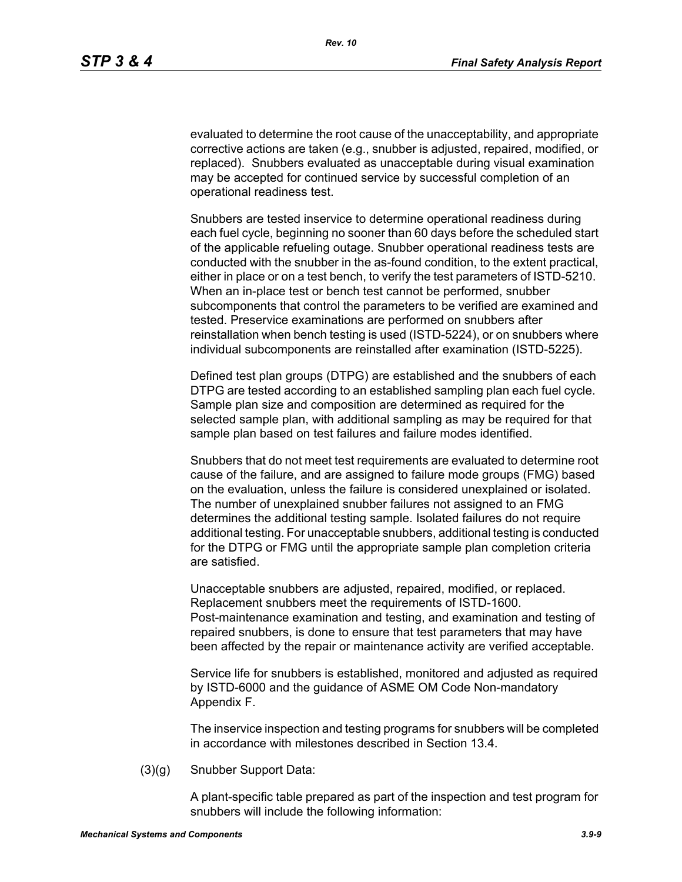evaluated to determine the root cause of the unacceptability, and appropriate corrective actions are taken (e.g., snubber is adjusted, repaired, modified, or replaced). Snubbers evaluated as unacceptable during visual examination may be accepted for continued service by successful completion of an operational readiness test.

Snubbers are tested inservice to determine operational readiness during each fuel cycle, beginning no sooner than 60 days before the scheduled start of the applicable refueling outage. Snubber operational readiness tests are conducted with the snubber in the as-found condition, to the extent practical, either in place or on a test bench, to verify the test parameters of ISTD-5210. When an in-place test or bench test cannot be performed, snubber subcomponents that control the parameters to be verified are examined and tested. Preservice examinations are performed on snubbers after reinstallation when bench testing is used (ISTD-5224), or on snubbers where individual subcomponents are reinstalled after examination (ISTD-5225).

Defined test plan groups (DTPG) are established and the snubbers of each DTPG are tested according to an established sampling plan each fuel cycle. Sample plan size and composition are determined as required for the selected sample plan, with additional sampling as may be required for that sample plan based on test failures and failure modes identified.

Snubbers that do not meet test requirements are evaluated to determine root cause of the failure, and are assigned to failure mode groups (FMG) based on the evaluation, unless the failure is considered unexplained or isolated. The number of unexplained snubber failures not assigned to an FMG determines the additional testing sample. Isolated failures do not require additional testing. For unacceptable snubbers, additional testing is conducted for the DTPG or FMG until the appropriate sample plan completion criteria are satisfied.

Unacceptable snubbers are adjusted, repaired, modified, or replaced. Replacement snubbers meet the requirements of ISTD-1600. Post-maintenance examination and testing, and examination and testing of repaired snubbers, is done to ensure that test parameters that may have been affected by the repair or maintenance activity are verified acceptable.

Service life for snubbers is established, monitored and adjusted as required by ISTD-6000 and the guidance of ASME OM Code Non-mandatory Appendix F.

The inservice inspection and testing programs for snubbers will be completed in accordance with milestones described in Section 13.4.

(3)(g) Snubber Support Data:

A plant-specific table prepared as part of the inspection and test program for snubbers will include the following information: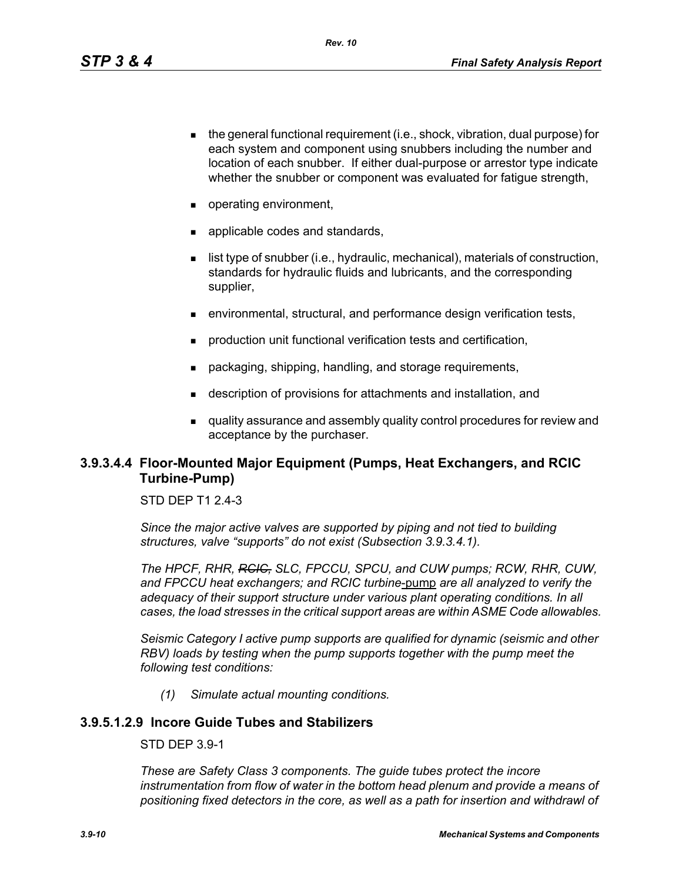- $\blacksquare$  the general functional requirement (i.e., shock, vibration, dual purpose) for each system and component using snubbers including the number and location of each snubber. If either dual-purpose or arrestor type indicate whether the snubber or component was evaluated for fatigue strength,
- operating environment,
- **a** applicable codes and standards,
- $\blacksquare$  list type of snubber (i.e., hydraulic, mechanical), materials of construction, standards for hydraulic fluids and lubricants, and the corresponding supplier,
- environmental, structural, and performance design verification tests,
- **production unit functional verification tests and certification,**
- packaging, shipping, handling, and storage requirements,
- description of provisions for attachments and installation, and
- quality assurance and assembly quality control procedures for review and acceptance by the purchaser.

## **3.9.3.4.4 Floor-Mounted Major Equipment (Pumps, Heat Exchangers, and RCIC Turbine-Pump)**

### STD DFP T1 2 4-3

*Since the major active valves are supported by piping and not tied to building structures, valve "supports" do not exist (Subsection 3.9.3.4.1).*

*The HPCF, RHR, RCIC, SLC, FPCCU, SPCU, and CUW pumps; RCW, RHR, CUW, and FPCCU heat exchangers; and RCIC turbine*-pump *are all analyzed to verify the adequacy of their support structure under various plant operating conditions. In all cases, the load stresses in the critical support areas are within ASME Code allowables.*

*Seismic Category I active pump supports are qualified for dynamic (seismic and other RBV*) loads by testing when the pump supports together with the pump meet the *following test conditions:*

*(1) Simulate actual mounting conditions.*

## **3.9.5.1.2.9 Incore Guide Tubes and Stabilizers**

STD DEP 3.9-1

*These are Safety Class 3 components. The guide tubes protect the incore*  instrumentation from flow of water in the bottom head plenum and provide a means of *positioning fixed detectors in the core, as well as a path for insertion and withdrawl of*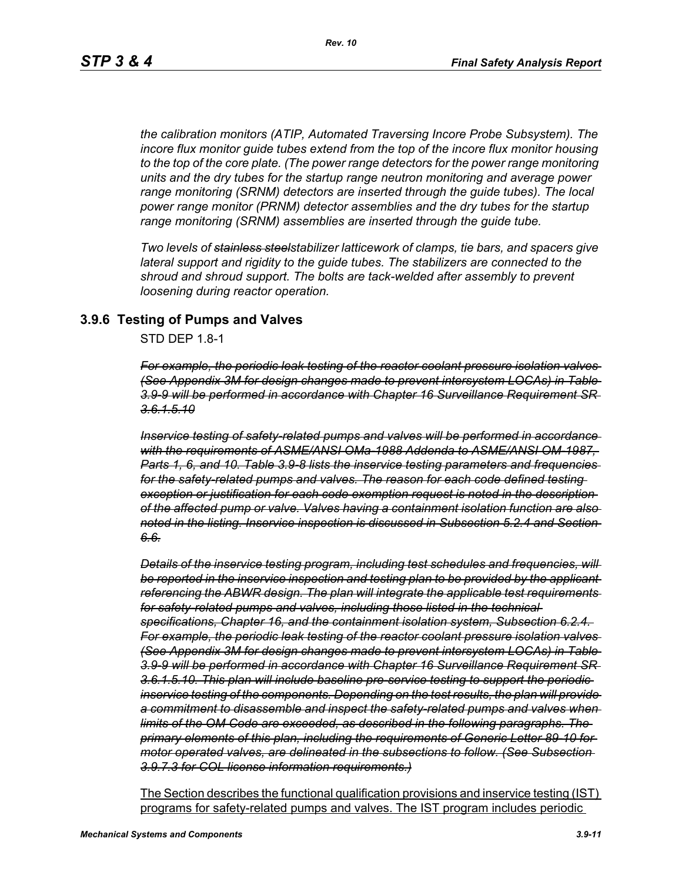*the calibration monitors (ATIP, Automated Traversing Incore Probe Subsystem). The incore flux monitor guide tubes extend from the top of the incore flux monitor housing to the top of the core plate. (The power range detectors for the power range monitoring units and the dry tubes for the startup range neutron monitoring and average power range monitoring (SRNM) detectors are inserted through the guide tubes). The local power range monitor (PRNM) detector assemblies and the dry tubes for the startup range monitoring (SRNM) assemblies are inserted through the guide tube.*

*Two levels of stainless steelstabilizer latticework of clamps, tie bars, and spacers give lateral support and rigidity to the guide tubes. The stabilizers are connected to the shroud and shroud support. The bolts are tack-welded after assembly to prevent loosening during reactor operation.*

### **3.9.6 Testing of Pumps and Valves**

STD DEP 1.8-1

*For example, the periodic leak testing of the reactor coolant pressure isolation valves (See Appendix 3M for design changes made to prevent intersystem LOCAs) in Table 3.9-9 will be performed in accordance with Chapter 16 Surveillance Requirement SR 3.6.1.5.10*

*Inservice testing of safety-related pumps and valves will be performed in accordance with the requirements of ASME/ANSI OMa-1988 Addenda to ASME/ANSI OM-1987, Parts 1, 6, and 10. Table 3.9-8 lists the inservice testing parameters and frequencies for the safety-related pumps and valves. The reason for each code defined testing exception or justification for each code exemption request is noted in the description of the affected pump or valve. Valves having a containment isolation function are also noted in the listing. Inservice inspection is discussed in Subsection 5.2.4 and Section 6.6.*

*Details of the inservice testing program, including test schedules and frequencies, will be reported in the inservice inspection and testing plan to be provided by the applicant referencing the ABWR design. The plan will integrate the applicable test requirements for safety-related pumps and valves, including those listed in the technical specifications, Chapter 16, and the containment isolation system, Subsection 6.2.4. For example, the periodic leak testing of the reactor coolant pressure isolation valves (See Appendix 3M for design changes made to prevent intersystem LOCAs) in Table 3.9-9 will be performed in accordance with Chapter 16 Surveillance Requirement SR 3.6.1.5.10. This plan will include baseline pre-service testing to support the periodic inservice testing of the components. Depending on the test results, the plan will provide a commitment to disassemble and inspect the safety-related pumps and valves when limits of the OM Code are exceeded, as described in the following paragraphs. The primary elements of this plan, including the requirements of Generic Letter 89-10 for motor operated valves, are delineated in the subsections to follow. (See Subsection 3.9.7.3 for COL license information requirements.)*

The Section describes the functional qualification provisions and inservice testing (IST) programs for safety-related pumps and valves. The IST program includes periodic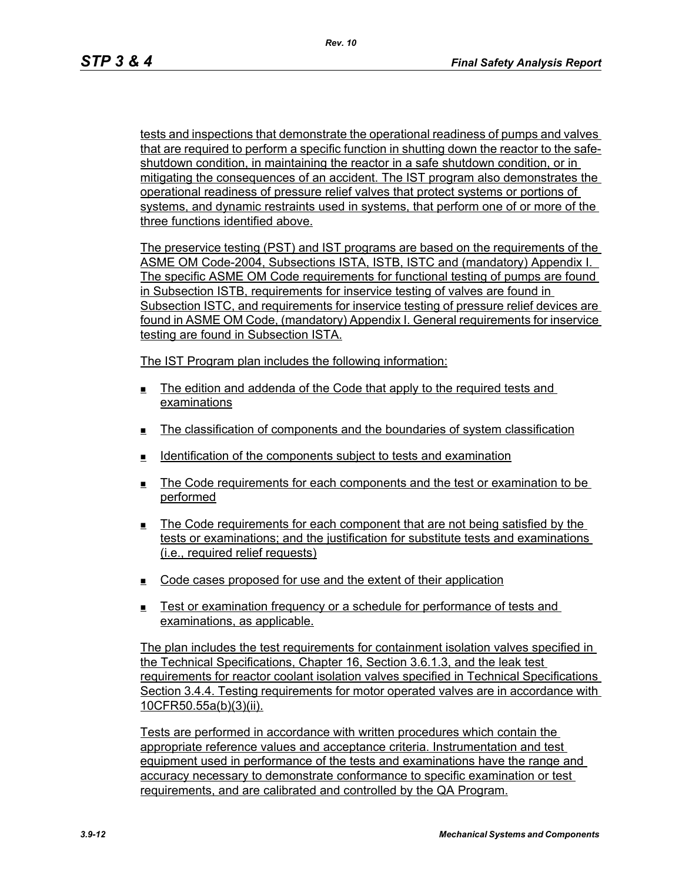tests and inspections that demonstrate the operational readiness of pumps and valves that are required to perform a specific function in shutting down the reactor to the safeshutdown condition, in maintaining the reactor in a safe shutdown condition, or in mitigating the consequences of an accident. The IST program also demonstrates the operational readiness of pressure relief valves that protect systems or portions of systems, and dynamic restraints used in systems, that perform one of or more of the three functions identified above.

The preservice testing (PST) and IST programs are based on the requirements of the ASME OM Code-2004, Subsections ISTA, ISTB, ISTC and (mandatory) Appendix I. The specific ASME OM Code requirements for functional testing of pumps are found in Subsection ISTB, requirements for inservice testing of valves are found in Subsection ISTC, and requirements for inservice testing of pressure relief devices are found in ASME OM Code, (mandatory) Appendix I. General requirements for inservice testing are found in Subsection ISTA.

The IST Program plan includes the following information:

- $\blacksquare$  The edition and addenda of the Code that apply to the required tests and examinations
- The classification of components and the boundaries of system classification
- Identification of the components subject to tests and examination
- The Code requirements for each components and the test or examination to be performed
- The Code requirements for each component that are not being satisfied by the tests or examinations; and the justification for substitute tests and examinations (i.e., required relief requests)
- $\Box$  Code cases proposed for use and the extent of their application
- Test or examination frequency or a schedule for performance of tests and examinations, as applicable.

The plan includes the test requirements for containment isolation valves specified in the Technical Specifications, Chapter 16, Section 3.6.1.3, and the leak test requirements for reactor coolant isolation valves specified in Technical Specifications Section 3.4.4. Testing requirements for motor operated valves are in accordance with 10CFR50.55a(b)(3)(ii).

Tests are performed in accordance with written procedures which contain the appropriate reference values and acceptance criteria. Instrumentation and test equipment used in performance of the tests and examinations have the range and accuracy necessary to demonstrate conformance to specific examination or test requirements, and are calibrated and controlled by the QA Program.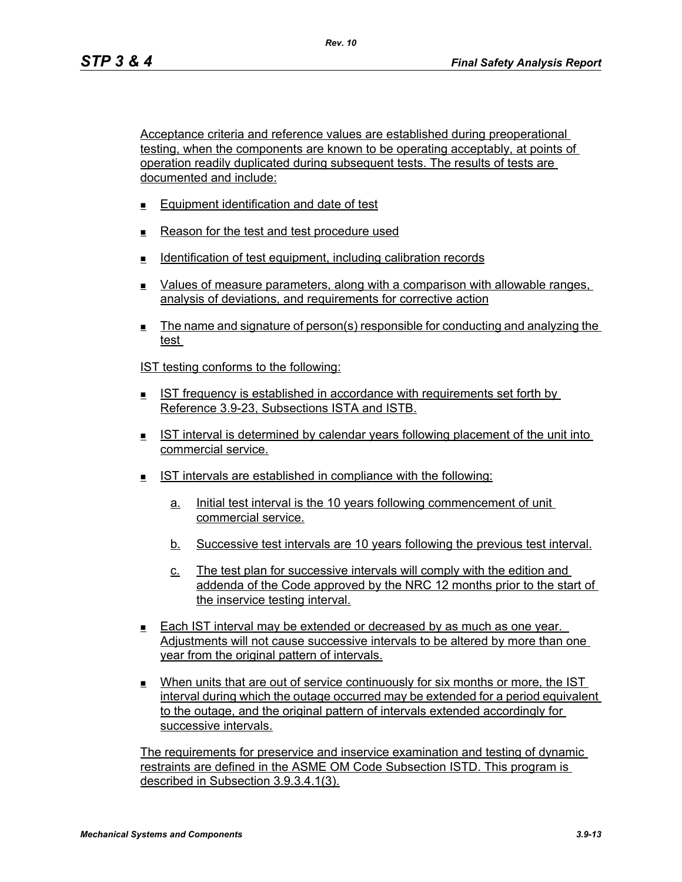Acceptance criteria and reference values are established during preoperational testing, when the components are known to be operating acceptably, at points of operation readily duplicated during subsequent tests. The results of tests are documented and include:

- **Equipment identification and date of test**
- Reason for the test and test procedure used
- **IDENTIFICATION CONTROVER THE INCORDING THE IDENTIFICATION CONTROVER THE IDENTIFICATION**
- Values of measure parameters, along with a comparison with allowable ranges, analysis of deviations, and requirements for corrective action
- The name and signature of person(s) responsible for conducting and analyzing the test

IST testing conforms to the following:

- IST frequency is established in accordance with requirements set forth by Reference 3.9-23, Subsections ISTA and ISTB.
- IST interval is determined by calendar years following placement of the unit into commercial service.
- IST intervals are established in compliance with the following:
	- a. Initial test interval is the 10 years following commencement of unit commercial service.
	- b. Successive test intervals are 10 years following the previous test interval.
	- c. The test plan for successive intervals will comply with the edition and addenda of the Code approved by the NRC 12 months prior to the start of the inservice testing interval.
- Each IST interval may be extended or decreased by as much as one year. Adjustments will not cause successive intervals to be altered by more than one year from the original pattern of intervals.
- When units that are out of service continuously for six months or more, the IST interval during which the outage occurred may be extended for a period equivalent to the outage, and the original pattern of intervals extended accordingly for successive intervals.

The requirements for preservice and inservice examination and testing of dynamic restraints are defined in the ASME OM Code Subsection ISTD. This program is described in Subsection 3.9.3.4.1(3).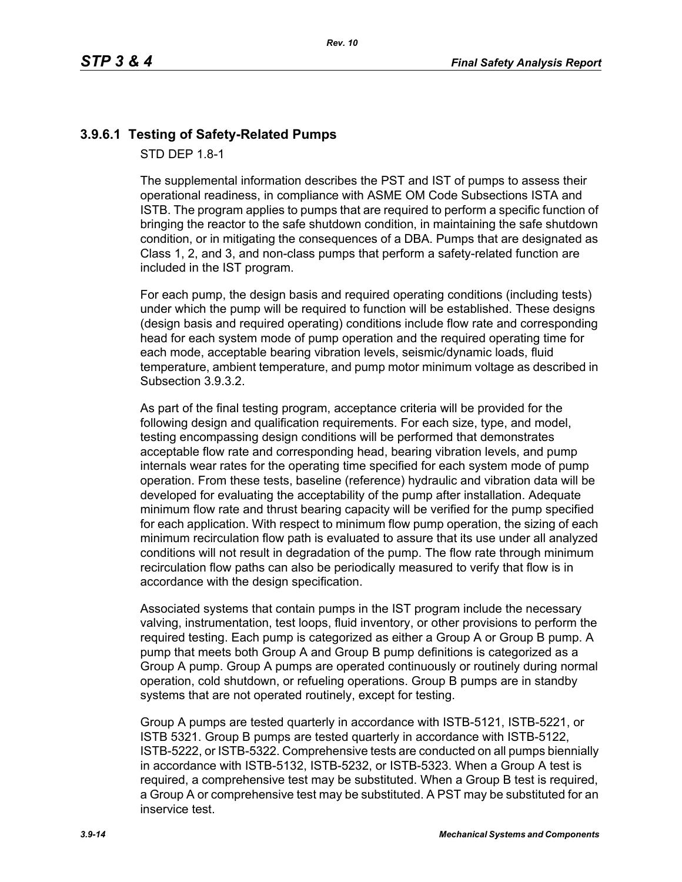## **3.9.6.1 Testing of Safety-Related Pumps**

STD DEP 1.8-1

The supplemental information describes the PST and IST of pumps to assess their operational readiness, in compliance with ASME OM Code Subsections ISTA and ISTB. The program applies to pumps that are required to perform a specific function of bringing the reactor to the safe shutdown condition, in maintaining the safe shutdown condition, or in mitigating the consequences of a DBA. Pumps that are designated as Class 1, 2, and 3, and non-class pumps that perform a safety-related function are included in the IST program.

For each pump, the design basis and required operating conditions (including tests) under which the pump will be required to function will be established. These designs (design basis and required operating) conditions include flow rate and corresponding head for each system mode of pump operation and the required operating time for each mode, acceptable bearing vibration levels, seismic/dynamic loads, fluid temperature, ambient temperature, and pump motor minimum voltage as described in Subsection 3.9.3.2.

As part of the final testing program, acceptance criteria will be provided for the following design and qualification requirements. For each size, type, and model, testing encompassing design conditions will be performed that demonstrates acceptable flow rate and corresponding head, bearing vibration levels, and pump internals wear rates for the operating time specified for each system mode of pump operation. From these tests, baseline (reference) hydraulic and vibration data will be developed for evaluating the acceptability of the pump after installation. Adequate minimum flow rate and thrust bearing capacity will be verified for the pump specified for each application. With respect to minimum flow pump operation, the sizing of each minimum recirculation flow path is evaluated to assure that its use under all analyzed conditions will not result in degradation of the pump. The flow rate through minimum recirculation flow paths can also be periodically measured to verify that flow is in accordance with the design specification.

Associated systems that contain pumps in the IST program include the necessary valving, instrumentation, test loops, fluid inventory, or other provisions to perform the required testing. Each pump is categorized as either a Group A or Group B pump. A pump that meets both Group A and Group B pump definitions is categorized as a Group A pump. Group A pumps are operated continuously or routinely during normal operation, cold shutdown, or refueling operations. Group B pumps are in standby systems that are not operated routinely, except for testing.

Group A pumps are tested quarterly in accordance with ISTB-5121, ISTB-5221, or ISTB 5321. Group B pumps are tested quarterly in accordance with ISTB-5122, ISTB-5222, or ISTB-5322. Comprehensive tests are conducted on all pumps biennially in accordance with ISTB-5132, ISTB-5232, or ISTB-5323. When a Group A test is required, a comprehensive test may be substituted. When a Group B test is required, a Group A or comprehensive test may be substituted. A PST may be substituted for an inservice test.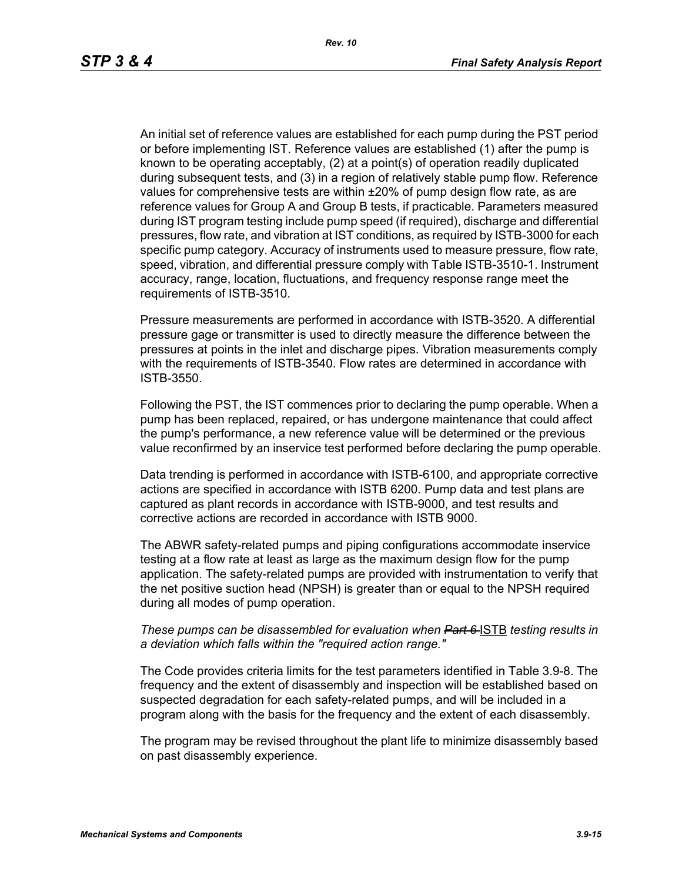An initial set of reference values are established for each pump during the PST period or before implementing IST. Reference values are established (1) after the pump is known to be operating acceptably, (2) at a point(s) of operation readily duplicated during subsequent tests, and (3) in a region of relatively stable pump flow. Reference values for comprehensive tests are within ±20% of pump design flow rate, as are reference values for Group A and Group B tests, if practicable. Parameters measured during IST program testing include pump speed (if required), discharge and differential pressures, flow rate, and vibration at IST conditions, as required by ISTB-3000 for each specific pump category. Accuracy of instruments used to measure pressure, flow rate, speed, vibration, and differential pressure comply with Table ISTB-3510-1. Instrument accuracy, range, location, fluctuations, and frequency response range meet the requirements of ISTB-3510.

Pressure measurements are performed in accordance with ISTB-3520. A differential pressure gage or transmitter is used to directly measure the difference between the pressures at points in the inlet and discharge pipes. Vibration measurements comply with the requirements of ISTB-3540. Flow rates are determined in accordance with ISTB-3550.

Following the PST, the IST commences prior to declaring the pump operable. When a pump has been replaced, repaired, or has undergone maintenance that could affect the pump's performance, a new reference value will be determined or the previous value reconfirmed by an inservice test performed before declaring the pump operable.

Data trending is performed in accordance with ISTB-6100, and appropriate corrective actions are specified in accordance with ISTB 6200. Pump data and test plans are captured as plant records in accordance with ISTB-9000, and test results and corrective actions are recorded in accordance with ISTB 9000.

The ABWR safety-related pumps and piping configurations accommodate inservice testing at a flow rate at least as large as the maximum design flow for the pump application. The safety-related pumps are provided with instrumentation to verify that the net positive suction head (NPSH) is greater than or equal to the NPSH required during all modes of pump operation.

#### *These pumps can be disassembled for evaluation when Part 6-ISTB testing results in a deviation which falls within the "required action range."*

The Code provides criteria limits for the test parameters identified in Table 3.9-8. The frequency and the extent of disassembly and inspection will be established based on suspected degradation for each safety-related pumps, and will be included in a program along with the basis for the frequency and the extent of each disassembly.

The program may be revised throughout the plant life to minimize disassembly based on past disassembly experience.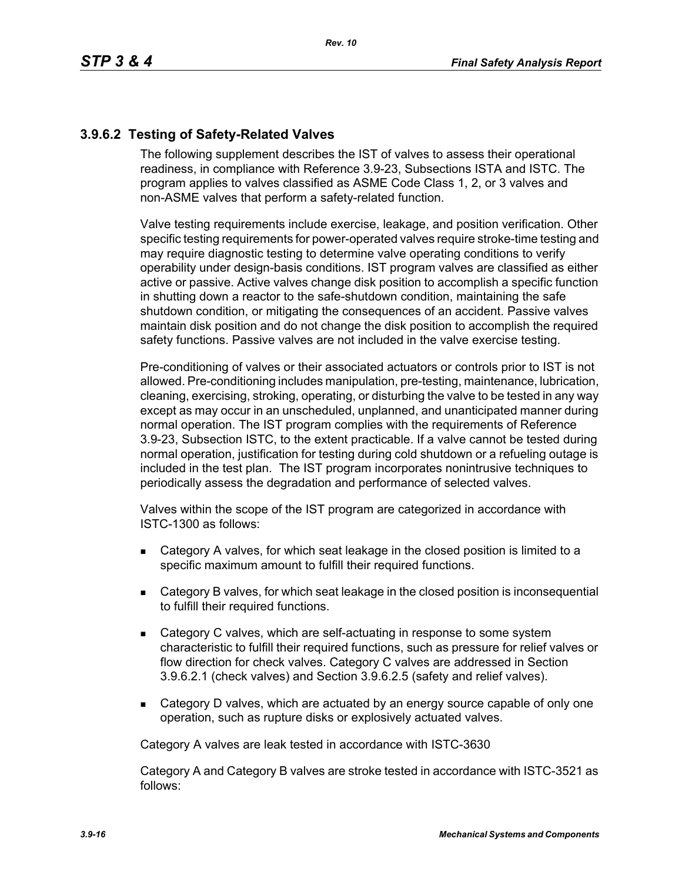# **3.9.6.2 Testing of Safety-Related Valves**

The following supplement describes the IST of valves to assess their operational readiness, in compliance with Reference 3.9-23, Subsections ISTA and ISTC. The program applies to valves classified as ASME Code Class 1, 2, or 3 valves and non-ASME valves that perform a safety-related function.

Valve testing requirements include exercise, leakage, and position verification. Other specific testing requirements for power-operated valves require stroke-time testing and may require diagnostic testing to determine valve operating conditions to verify operability under design-basis conditions. IST program valves are classified as either active or passive. Active valves change disk position to accomplish a specific function in shutting down a reactor to the safe-shutdown condition, maintaining the safe shutdown condition, or mitigating the consequences of an accident. Passive valves maintain disk position and do not change the disk position to accomplish the required safety functions. Passive valves are not included in the valve exercise testing.

Pre-conditioning of valves or their associated actuators or controls prior to IST is not allowed. Pre-conditioning includes manipulation, pre-testing, maintenance, lubrication, cleaning, exercising, stroking, operating, or disturbing the valve to be tested in any way except as may occur in an unscheduled, unplanned, and unanticipated manner during normal operation. The IST program complies with the requirements of Reference 3.9-23, Subsection ISTC, to the extent practicable. If a valve cannot be tested during normal operation, justification for testing during cold shutdown or a refueling outage is included in the test plan. The IST program incorporates nonintrusive techniques to periodically assess the degradation and performance of selected valves.

Valves within the scope of the IST program are categorized in accordance with ISTC-1300 as follows:

- Category A valves, for which seat leakage in the closed position is limited to a specific maximum amount to fulfill their required functions.
- Category B valves, for which seat leakage in the closed position is inconsequential to fulfill their required functions.
- Category C valves, which are self-actuating in response to some system characteristic to fulfill their required functions, such as pressure for relief valves or flow direction for check valves. Category C valves are addressed in Section 3.9.6.2.1 (check valves) and Section 3.9.6.2.5 (safety and relief valves).
- Category D valves, which are actuated by an energy source capable of only one operation, such as rupture disks or explosively actuated valves.

Category A valves are leak tested in accordance with ISTC-3630

Category A and Category B valves are stroke tested in accordance with ISTC-3521 as follows: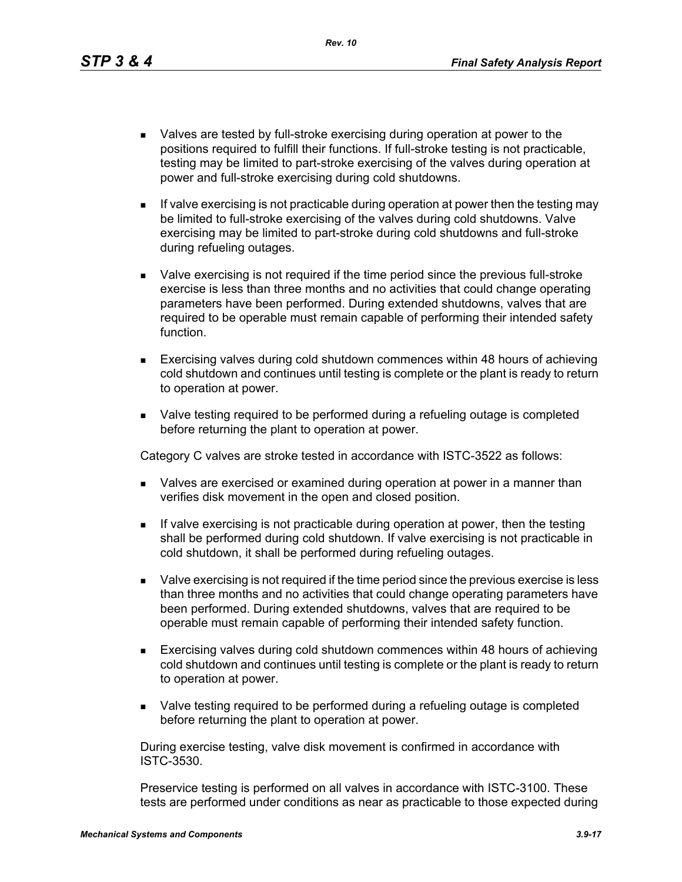*Rev. 10*

- Valves are tested by full-stroke exercising during operation at power to the positions required to fulfill their functions. If full-stroke testing is not practicable, testing may be limited to part-stroke exercising of the valves during operation at power and full-stroke exercising during cold shutdowns.
- $\blacksquare$  If valve exercising is not practicable during operation at power then the testing may be limited to full-stroke exercising of the valves during cold shutdowns. Valve exercising may be limited to part-stroke during cold shutdowns and full-stroke during refueling outages.
- Valve exercising is not required if the time period since the previous full-stroke exercise is less than three months and no activities that could change operating parameters have been performed. During extended shutdowns, valves that are required to be operable must remain capable of performing their intended safety function.
- Exercising valves during cold shutdown commences within 48 hours of achieving cold shutdown and continues until testing is complete or the plant is ready to return to operation at power.
- **Nalve testing required to be performed during a refueling outage is completed** before returning the plant to operation at power.

Category C valves are stroke tested in accordance with ISTC-3522 as follows:

- **DED Valves are exercised or examined during operation at power in a manner than** verifies disk movement in the open and closed position.
- If valve exercising is not practicable during operation at power, then the testing shall be performed during cold shutdown. If valve exercising is not practicable in cold shutdown, it shall be performed during refueling outages.
- Valve exercising is not required if the time period since the previous exercise is less than three months and no activities that could change operating parameters have been performed. During extended shutdowns, valves that are required to be operable must remain capable of performing their intended safety function.
- Exercising valves during cold shutdown commences within 48 hours of achieving cold shutdown and continues until testing is complete or the plant is ready to return to operation at power.
- Valve testing required to be performed during a refueling outage is completed before returning the plant to operation at power.

During exercise testing, valve disk movement is confirmed in accordance with ISTC-3530.

Preservice testing is performed on all valves in accordance with ISTC-3100. These tests are performed under conditions as near as practicable to those expected during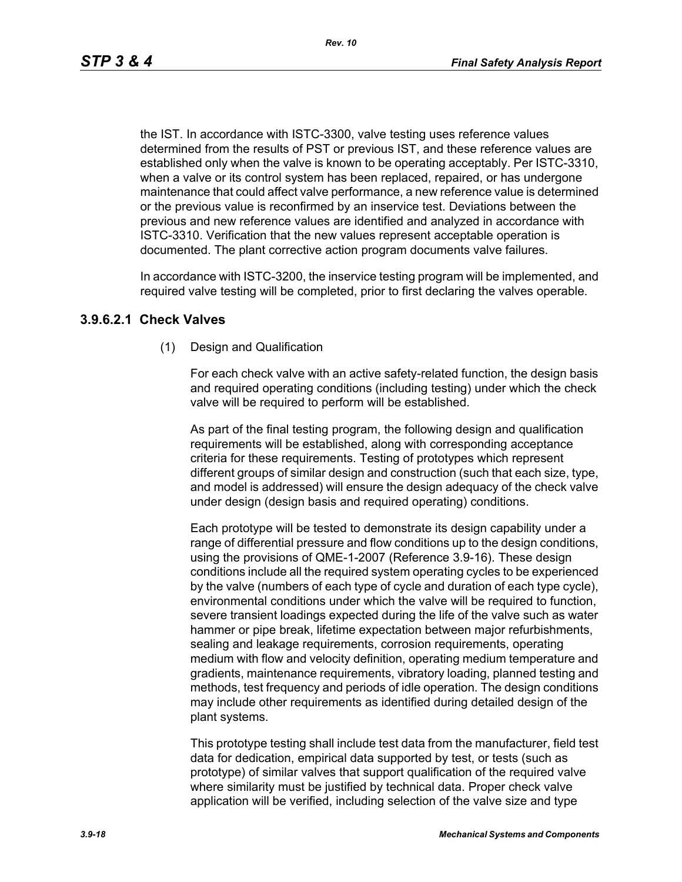*Rev. 10*

the IST. In accordance with ISTC-3300, valve testing uses reference values determined from the results of PST or previous IST, and these reference values are established only when the valve is known to be operating acceptably. Per ISTC-3310, when a valve or its control system has been replaced, repaired, or has undergone maintenance that could affect valve performance, a new reference value is determined or the previous value is reconfirmed by an inservice test. Deviations between the previous and new reference values are identified and analyzed in accordance with ISTC-3310. Verification that the new values represent acceptable operation is documented. The plant corrective action program documents valve failures.

In accordance with ISTC-3200, the inservice testing program will be implemented, and required valve testing will be completed, prior to first declaring the valves operable.

### **3.9.6.2.1 Check Valves**

(1) Design and Qualification

For each check valve with an active safety-related function, the design basis and required operating conditions (including testing) under which the check valve will be required to perform will be established.

As part of the final testing program, the following design and qualification requirements will be established, along with corresponding acceptance criteria for these requirements. Testing of prototypes which represent different groups of similar design and construction (such that each size, type, and model is addressed) will ensure the design adequacy of the check valve under design (design basis and required operating) conditions.

Each prototype will be tested to demonstrate its design capability under a range of differential pressure and flow conditions up to the design conditions, using the provisions of QME-1-2007 (Reference 3.9-16). These design conditions include all the required system operating cycles to be experienced by the valve (numbers of each type of cycle and duration of each type cycle), environmental conditions under which the valve will be required to function, severe transient loadings expected during the life of the valve such as water hammer or pipe break, lifetime expectation between major refurbishments, sealing and leakage requirements, corrosion requirements, operating medium with flow and velocity definition, operating medium temperature and gradients, maintenance requirements, vibratory loading, planned testing and methods, test frequency and periods of idle operation. The design conditions may include other requirements as identified during detailed design of the plant systems.

This prototype testing shall include test data from the manufacturer, field test data for dedication, empirical data supported by test, or tests (such as prototype) of similar valves that support qualification of the required valve where similarity must be justified by technical data. Proper check valve application will be verified, including selection of the valve size and type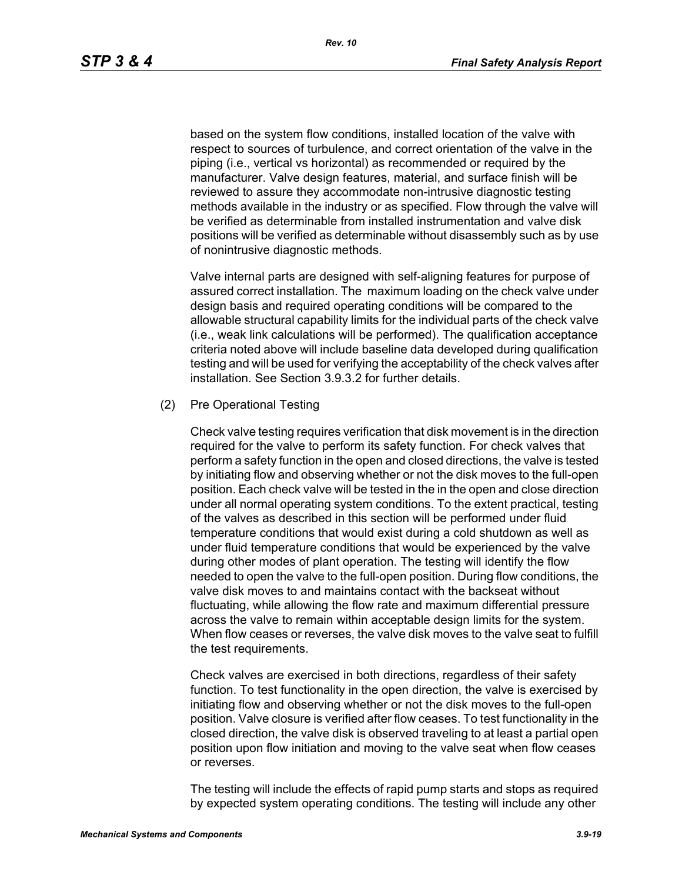based on the system flow conditions, installed location of the valve with respect to sources of turbulence, and correct orientation of the valve in the piping (i.e., vertical vs horizontal) as recommended or required by the manufacturer. Valve design features, material, and surface finish will be reviewed to assure they accommodate non-intrusive diagnostic testing methods available in the industry or as specified. Flow through the valve will be verified as determinable from installed instrumentation and valve disk positions will be verified as determinable without disassembly such as by use of nonintrusive diagnostic methods.

Valve internal parts are designed with self-aligning features for purpose of assured correct installation. The maximum loading on the check valve under design basis and required operating conditions will be compared to the allowable structural capability limits for the individual parts of the check valve (i.e., weak link calculations will be performed). The qualification acceptance criteria noted above will include baseline data developed during qualification testing and will be used for verifying the acceptability of the check valves after installation. See Section 3.9.3.2 for further details.

#### (2) Pre Operational Testing

Check valve testing requires verification that disk movement is in the direction required for the valve to perform its safety function. For check valves that perform a safety function in the open and closed directions, the valve is tested by initiating flow and observing whether or not the disk moves to the full-open position. Each check valve will be tested in the in the open and close direction under all normal operating system conditions. To the extent practical, testing of the valves as described in this section will be performed under fluid temperature conditions that would exist during a cold shutdown as well as under fluid temperature conditions that would be experienced by the valve during other modes of plant operation. The testing will identify the flow needed to open the valve to the full-open position. During flow conditions, the valve disk moves to and maintains contact with the backseat without fluctuating, while allowing the flow rate and maximum differential pressure across the valve to remain within acceptable design limits for the system. When flow ceases or reverses, the valve disk moves to the valve seat to fulfill the test requirements.

Check valves are exercised in both directions, regardless of their safety function. To test functionality in the open direction, the valve is exercised by initiating flow and observing whether or not the disk moves to the full-open position. Valve closure is verified after flow ceases. To test functionality in the closed direction, the valve disk is observed traveling to at least a partial open position upon flow initiation and moving to the valve seat when flow ceases or reverses.

The testing will include the effects of rapid pump starts and stops as required by expected system operating conditions. The testing will include any other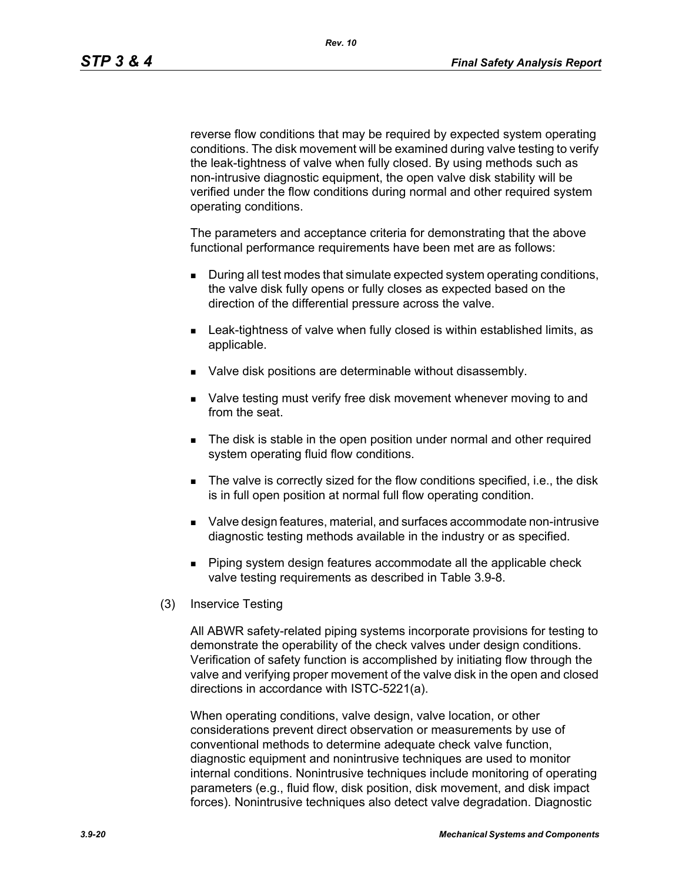reverse flow conditions that may be required by expected system operating conditions. The disk movement will be examined during valve testing to verify the leak-tightness of valve when fully closed. By using methods such as non-intrusive diagnostic equipment, the open valve disk stability will be verified under the flow conditions during normal and other required system operating conditions.

The parameters and acceptance criteria for demonstrating that the above functional performance requirements have been met are as follows:

- During all test modes that simulate expected system operating conditions, the valve disk fully opens or fully closes as expected based on the direction of the differential pressure across the valve.
- **EXECT** Leak-tightness of valve when fully closed is within established limits, as applicable.
- **Valve disk positions are determinable without disassembly.**
- **Now the Standard Musta** verify free disk movement whenever moving to and from the seat.
- **The disk is stable in the open position under normal and other required** system operating fluid flow conditions.
- The valve is correctly sized for the flow conditions specified, i.e., the disk is in full open position at normal full flow operating condition.
- Valve design features, material, and surfaces accommodate non-intrusive diagnostic testing methods available in the industry or as specified.
- **Piping system design features accommodate all the applicable check** valve testing requirements as described in Table 3.9-8.
- (3) Inservice Testing

All ABWR safety-related piping systems incorporate provisions for testing to demonstrate the operability of the check valves under design conditions. Verification of safety function is accomplished by initiating flow through the valve and verifying proper movement of the valve disk in the open and closed directions in accordance with ISTC-5221(a).

When operating conditions, valve design, valve location, or other considerations prevent direct observation or measurements by use of conventional methods to determine adequate check valve function, diagnostic equipment and nonintrusive techniques are used to monitor internal conditions. Nonintrusive techniques include monitoring of operating parameters (e.g., fluid flow, disk position, disk movement, and disk impact forces). Nonintrusive techniques also detect valve degradation. Diagnostic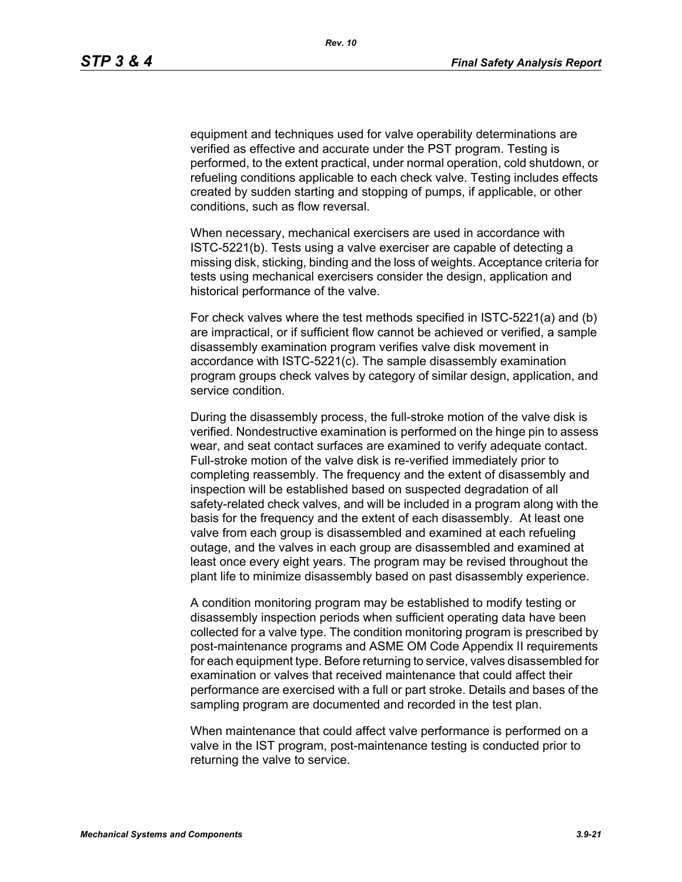equipment and techniques used for valve operability determinations are verified as effective and accurate under the PST program. Testing is performed, to the extent practical, under normal operation, cold shutdown, or refueling conditions applicable to each check valve. Testing includes effects created by sudden starting and stopping of pumps, if applicable, or other conditions, such as flow reversal.

When necessary, mechanical exercisers are used in accordance with ISTC-5221(b). Tests using a valve exerciser are capable of detecting a missing disk, sticking, binding and the loss of weights. Acceptance criteria for tests using mechanical exercisers consider the design, application and historical performance of the valve.

For check valves where the test methods specified in ISTC-5221(a) and (b) are impractical, or if sufficient flow cannot be achieved or verified, a sample disassembly examination program verifies valve disk movement in accordance with ISTC-5221(c). The sample disassembly examination program groups check valves by category of similar design, application, and service condition.

During the disassembly process, the full-stroke motion of the valve disk is verified. Nondestructive examination is performed on the hinge pin to assess wear, and seat contact surfaces are examined to verify adequate contact. Full-stroke motion of the valve disk is re-verified immediately prior to completing reassembly. The frequency and the extent of disassembly and inspection will be established based on suspected degradation of all safety-related check valves, and will be included in a program along with the basis for the frequency and the extent of each disassembly. At least one valve from each group is disassembled and examined at each refueling outage, and the valves in each group are disassembled and examined at least once every eight years. The program may be revised throughout the plant life to minimize disassembly based on past disassembly experience.

A condition monitoring program may be established to modify testing or disassembly inspection periods when sufficient operating data have been collected for a valve type. The condition monitoring program is prescribed by post-maintenance programs and ASME OM Code Appendix II requirements for each equipment type. Before returning to service, valves disassembled for examination or valves that received maintenance that could affect their performance are exercised with a full or part stroke. Details and bases of the sampling program are documented and recorded in the test plan.

When maintenance that could affect valve performance is performed on a valve in the IST program, post-maintenance testing is conducted prior to returning the valve to service.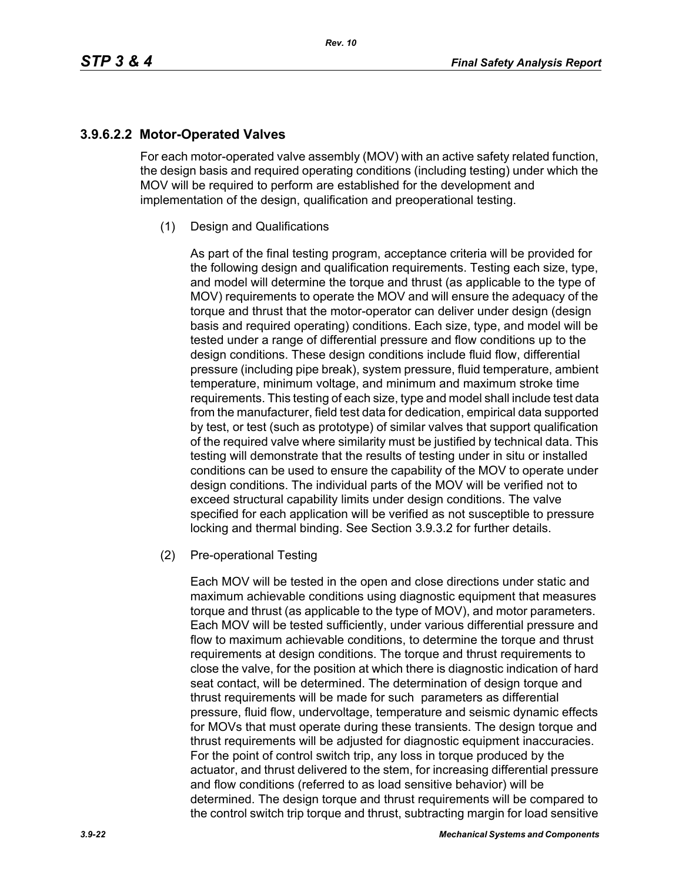## **3.9.6.2.2 Motor-Operated Valves**

For each motor-operated valve assembly (MOV) with an active safety related function, the design basis and required operating conditions (including testing) under which the MOV will be required to perform are established for the development and implementation of the design, qualification and preoperational testing.

(1) Design and Qualifications

As part of the final testing program, acceptance criteria will be provided for the following design and qualification requirements. Testing each size, type, and model will determine the torque and thrust (as applicable to the type of MOV) requirements to operate the MOV and will ensure the adequacy of the torque and thrust that the motor-operator can deliver under design (design basis and required operating) conditions. Each size, type, and model will be tested under a range of differential pressure and flow conditions up to the design conditions. These design conditions include fluid flow, differential pressure (including pipe break), system pressure, fluid temperature, ambient temperature, minimum voltage, and minimum and maximum stroke time requirements. This testing of each size, type and model shall include test data from the manufacturer, field test data for dedication, empirical data supported by test, or test (such as prototype) of similar valves that support qualification of the required valve where similarity must be justified by technical data. This testing will demonstrate that the results of testing under in situ or installed conditions can be used to ensure the capability of the MOV to operate under design conditions. The individual parts of the MOV will be verified not to exceed structural capability limits under design conditions. The valve specified for each application will be verified as not susceptible to pressure locking and thermal binding. See Section 3.9.3.2 for further details.

(2) Pre-operational Testing

Each MOV will be tested in the open and close directions under static and maximum achievable conditions using diagnostic equipment that measures torque and thrust (as applicable to the type of MOV), and motor parameters. Each MOV will be tested sufficiently, under various differential pressure and flow to maximum achievable conditions, to determine the torque and thrust requirements at design conditions. The torque and thrust requirements to close the valve, for the position at which there is diagnostic indication of hard seat contact, will be determined. The determination of design torque and thrust requirements will be made for such parameters as differential pressure, fluid flow, undervoltage, temperature and seismic dynamic effects for MOVs that must operate during these transients. The design torque and thrust requirements will be adjusted for diagnostic equipment inaccuracies. For the point of control switch trip, any loss in torque produced by the actuator, and thrust delivered to the stem, for increasing differential pressure and flow conditions (referred to as load sensitive behavior) will be determined. The design torque and thrust requirements will be compared to the control switch trip torque and thrust, subtracting margin for load sensitive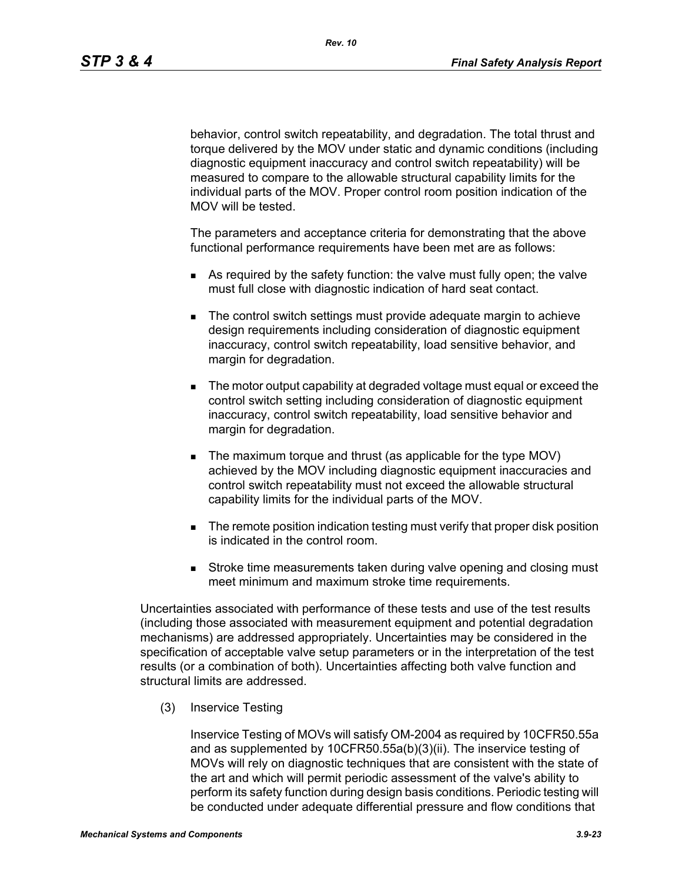behavior, control switch repeatability, and degradation. The total thrust and torque delivered by the MOV under static and dynamic conditions (including diagnostic equipment inaccuracy and control switch repeatability) will be measured to compare to the allowable structural capability limits for the individual parts of the MOV. Proper control room position indication of the MOV will be tested.

The parameters and acceptance criteria for demonstrating that the above functional performance requirements have been met are as follows:

- As required by the safety function: the valve must fully open; the valve must full close with diagnostic indication of hard seat contact.
- The control switch settings must provide adequate margin to achieve design requirements including consideration of diagnostic equipment inaccuracy, control switch repeatability, load sensitive behavior, and margin for degradation.
- The motor output capability at degraded voltage must equal or exceed the control switch setting including consideration of diagnostic equipment inaccuracy, control switch repeatability, load sensitive behavior and margin for degradation.
- The maximum torque and thrust (as applicable for the type MOV) achieved by the MOV including diagnostic equipment inaccuracies and control switch repeatability must not exceed the allowable structural capability limits for the individual parts of the MOV.
- **The remote position indication testing must verify that proper disk position** is indicated in the control room.
- **Stroke time measurements taken during valve opening and closing must** meet minimum and maximum stroke time requirements.

Uncertainties associated with performance of these tests and use of the test results (including those associated with measurement equipment and potential degradation mechanisms) are addressed appropriately. Uncertainties may be considered in the specification of acceptable valve setup parameters or in the interpretation of the test results (or a combination of both). Uncertainties affecting both valve function and structural limits are addressed.

(3) Inservice Testing

Inservice Testing of MOVs will satisfy OM-2004 as required by 10CFR50.55a and as supplemented by 10CFR50.55a(b)(3)(ii). The inservice testing of MOVs will rely on diagnostic techniques that are consistent with the state of the art and which will permit periodic assessment of the valve's ability to perform its safety function during design basis conditions. Periodic testing will be conducted under adequate differential pressure and flow conditions that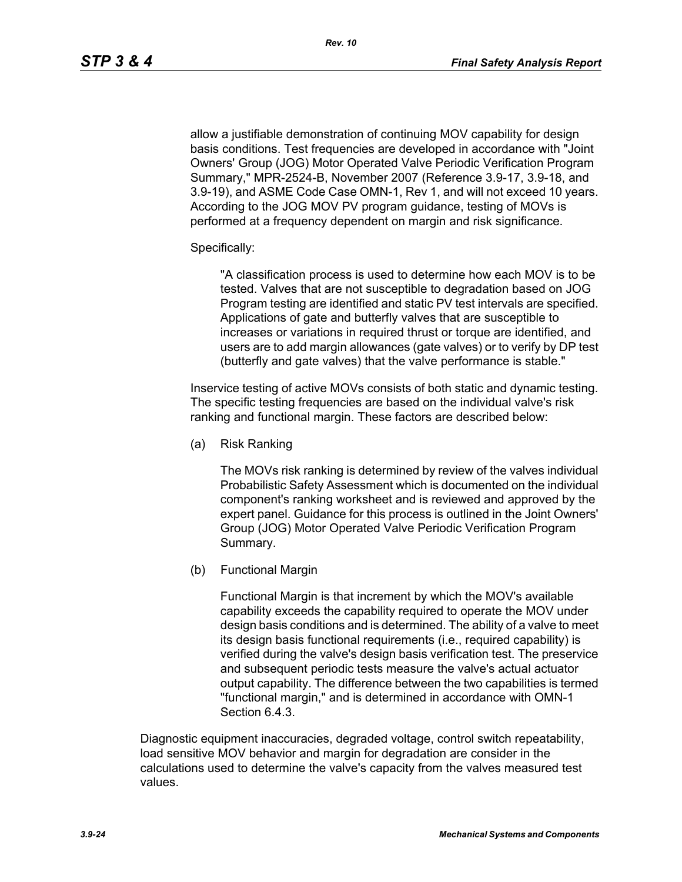allow a justifiable demonstration of continuing MOV capability for design basis conditions. Test frequencies are developed in accordance with "Joint Owners' Group (JOG) Motor Operated Valve Periodic Verification Program Summary," MPR-2524-B, November 2007 (Reference 3.9-17, 3.9-18, and 3.9-19), and ASME Code Case OMN-1, Rev 1, and will not exceed 10 years. According to the JOG MOV PV program guidance, testing of MOVs is performed at a frequency dependent on margin and risk significance.

### Specifically:

"A classification process is used to determine how each MOV is to be tested. Valves that are not susceptible to degradation based on JOG Program testing are identified and static PV test intervals are specified. Applications of gate and butterfly valves that are susceptible to increases or variations in required thrust or torque are identified, and users are to add margin allowances (gate valves) or to verify by DP test (butterfly and gate valves) that the valve performance is stable."

Inservice testing of active MOVs consists of both static and dynamic testing. The specific testing frequencies are based on the individual valve's risk ranking and functional margin. These factors are described below:

(a) Risk Ranking

The MOVs risk ranking is determined by review of the valves individual Probabilistic Safety Assessment which is documented on the individual component's ranking worksheet and is reviewed and approved by the expert panel. Guidance for this process is outlined in the Joint Owners' Group (JOG) Motor Operated Valve Periodic Verification Program Summary.

(b) Functional Margin

Functional Margin is that increment by which the MOV's available capability exceeds the capability required to operate the MOV under design basis conditions and is determined. The ability of a valve to meet its design basis functional requirements (i.e., required capability) is verified during the valve's design basis verification test. The preservice and subsequent periodic tests measure the valve's actual actuator output capability. The difference between the two capabilities is termed "functional margin," and is determined in accordance with OMN-1 Section 6.4.3.

Diagnostic equipment inaccuracies, degraded voltage, control switch repeatability, load sensitive MOV behavior and margin for degradation are consider in the calculations used to determine the valve's capacity from the valves measured test values.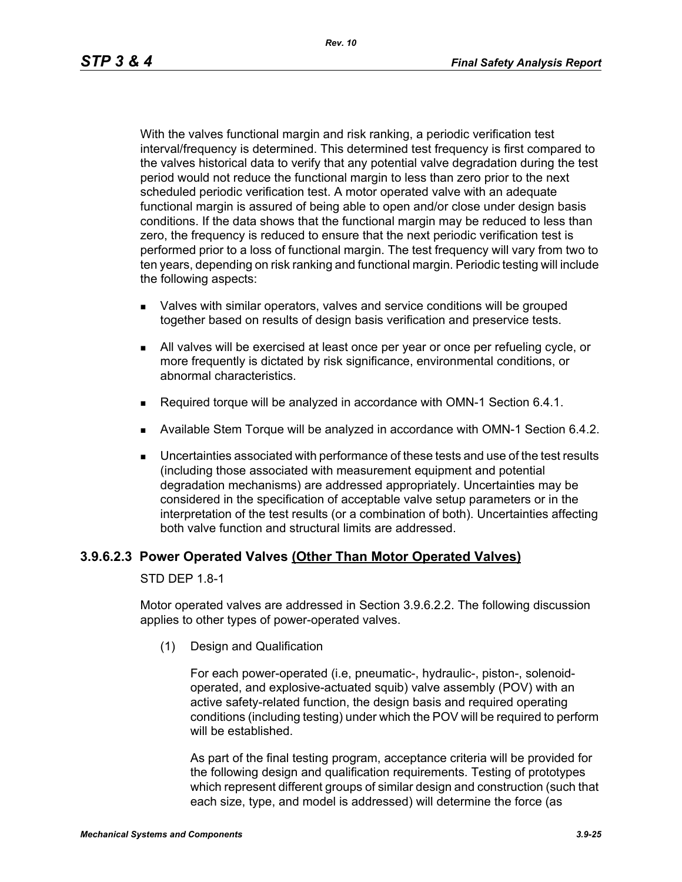With the valves functional margin and risk ranking, a periodic verification test interval/frequency is determined. This determined test frequency is first compared to the valves historical data to verify that any potential valve degradation during the test period would not reduce the functional margin to less than zero prior to the next scheduled periodic verification test. A motor operated valve with an adequate functional margin is assured of being able to open and/or close under design basis conditions. If the data shows that the functional margin may be reduced to less than zero, the frequency is reduced to ensure that the next periodic verification test is performed prior to a loss of functional margin. The test frequency will vary from two to ten years, depending on risk ranking and functional margin. Periodic testing will include the following aspects:

- Valves with similar operators, valves and service conditions will be grouped together based on results of design basis verification and preservice tests.
- All valves will be exercised at least once per year or once per refueling cycle, or more frequently is dictated by risk significance, environmental conditions, or abnormal characteristics.
- Required torque will be analyzed in accordance with OMN-1 Section 6.4.1.
- Available Stem Torque will be analyzed in accordance with OMN-1 Section 6.4.2.
- Uncertainties associated with performance of these tests and use of the test results (including those associated with measurement equipment and potential degradation mechanisms) are addressed appropriately. Uncertainties may be considered in the specification of acceptable valve setup parameters or in the interpretation of the test results (or a combination of both). Uncertainties affecting both valve function and structural limits are addressed.

### **3.9.6.2.3 Power Operated Valves (Other Than Motor Operated Valves)**

STD DEP 1.8-1

Motor operated valves are addressed in Section 3.9.6.2.2. The following discussion applies to other types of power-operated valves.

(1) Design and Qualification

For each power-operated (i.e, pneumatic-, hydraulic-, piston-, solenoidoperated, and explosive-actuated squib) valve assembly (POV) with an active safety-related function, the design basis and required operating conditions (including testing) under which the POV will be required to perform will be established.

As part of the final testing program, acceptance criteria will be provided for the following design and qualification requirements. Testing of prototypes which represent different groups of similar design and construction (such that each size, type, and model is addressed) will determine the force (as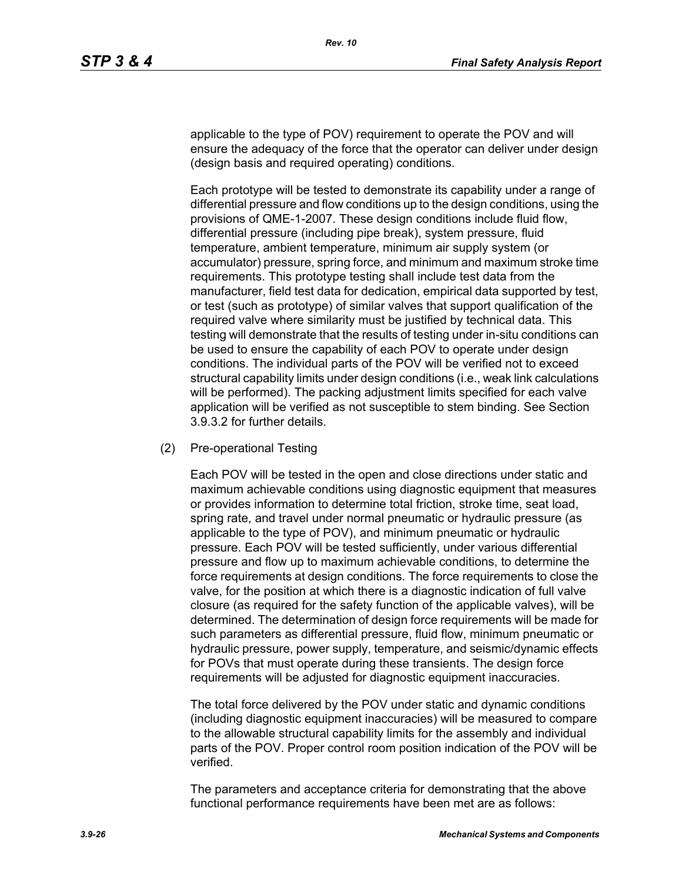applicable to the type of POV) requirement to operate the POV and will ensure the adequacy of the force that the operator can deliver under design (design basis and required operating) conditions.

Each prototype will be tested to demonstrate its capability under a range of differential pressure and flow conditions up to the design conditions, using the provisions of QME-1-2007. These design conditions include fluid flow, differential pressure (including pipe break), system pressure, fluid temperature, ambient temperature, minimum air supply system (or accumulator) pressure, spring force, and minimum and maximum stroke time requirements. This prototype testing shall include test data from the manufacturer, field test data for dedication, empirical data supported by test, or test (such as prototype) of similar valves that support qualification of the required valve where similarity must be justified by technical data. This testing will demonstrate that the results of testing under in-situ conditions can be used to ensure the capability of each POV to operate under design conditions. The individual parts of the POV will be verified not to exceed structural capability limits under design conditions (i.e., weak link calculations will be performed). The packing adjustment limits specified for each valve application will be verified as not susceptible to stem binding. See Section 3.9.3.2 for further details.

(2) Pre-operational Testing

Each POV will be tested in the open and close directions under static and maximum achievable conditions using diagnostic equipment that measures or provides information to determine total friction, stroke time, seat load, spring rate, and travel under normal pneumatic or hydraulic pressure (as applicable to the type of POV), and minimum pneumatic or hydraulic pressure. Each POV will be tested sufficiently, under various differential pressure and flow up to maximum achievable conditions, to determine the force requirements at design conditions. The force requirements to close the valve, for the position at which there is a diagnostic indication of full valve closure (as required for the safety function of the applicable valves), will be determined. The determination of design force requirements will be made for such parameters as differential pressure, fluid flow, minimum pneumatic or hydraulic pressure, power supply, temperature, and seismic/dynamic effects for POVs that must operate during these transients. The design force requirements will be adjusted for diagnostic equipment inaccuracies.

The total force delivered by the POV under static and dynamic conditions (including diagnostic equipment inaccuracies) will be measured to compare to the allowable structural capability limits for the assembly and individual parts of the POV. Proper control room position indication of the POV will be verified.

The parameters and acceptance criteria for demonstrating that the above functional performance requirements have been met are as follows: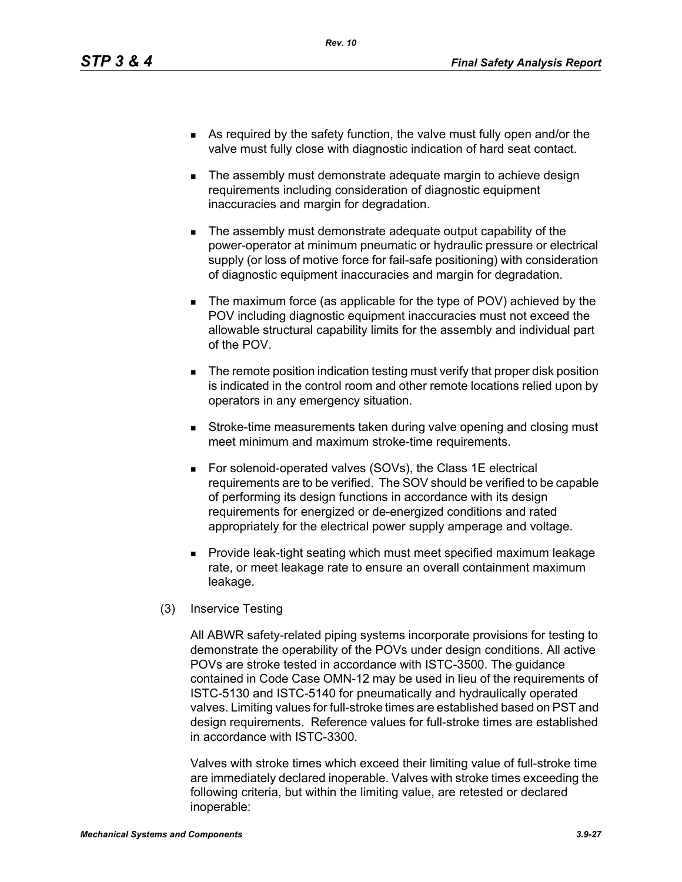- As required by the safety function, the valve must fully open and/or the valve must fully close with diagnostic indication of hard seat contact.
- The assembly must demonstrate adequate margin to achieve design requirements including consideration of diagnostic equipment inaccuracies and margin for degradation.
- The assembly must demonstrate adequate output capability of the power-operator at minimum pneumatic or hydraulic pressure or electrical supply (or loss of motive force for fail-safe positioning) with consideration of diagnostic equipment inaccuracies and margin for degradation.
- The maximum force (as applicable for the type of POV) achieved by the POV including diagnostic equipment inaccuracies must not exceed the allowable structural capability limits for the assembly and individual part of the POV.
- **The remote position indication testing must verify that proper disk position** is indicated in the control room and other remote locations relied upon by operators in any emergency situation.
- **Stroke-time measurements taken during valve opening and closing must** meet minimum and maximum stroke-time requirements.
- For solenoid-operated valves (SOVs), the Class 1E electrical requirements are to be verified. The SOV should be verified to be capable of performing its design functions in accordance with its design requirements for energized or de-energized conditions and rated appropriately for the electrical power supply amperage and voltage.
- **Provide leak-tight seating which must meet specified maximum leakage** rate, or meet leakage rate to ensure an overall containment maximum leakage.
- (3) Inservice Testing

All ABWR safety-related piping systems incorporate provisions for testing to demonstrate the operability of the POVs under design conditions. All active POVs are stroke tested in accordance with ISTC-3500. The guidance contained in Code Case OMN-12 may be used in lieu of the requirements of ISTC-5130 and ISTC-5140 for pneumatically and hydraulically operated valves. Limiting values for full-stroke times are established based on PST and design requirements. Reference values for full-stroke times are established in accordance with ISTC-3300.

Valves with stroke times which exceed their limiting value of full-stroke time are immediately declared inoperable. Valves with stroke times exceeding the following criteria, but within the limiting value, are retested or declared inoperable: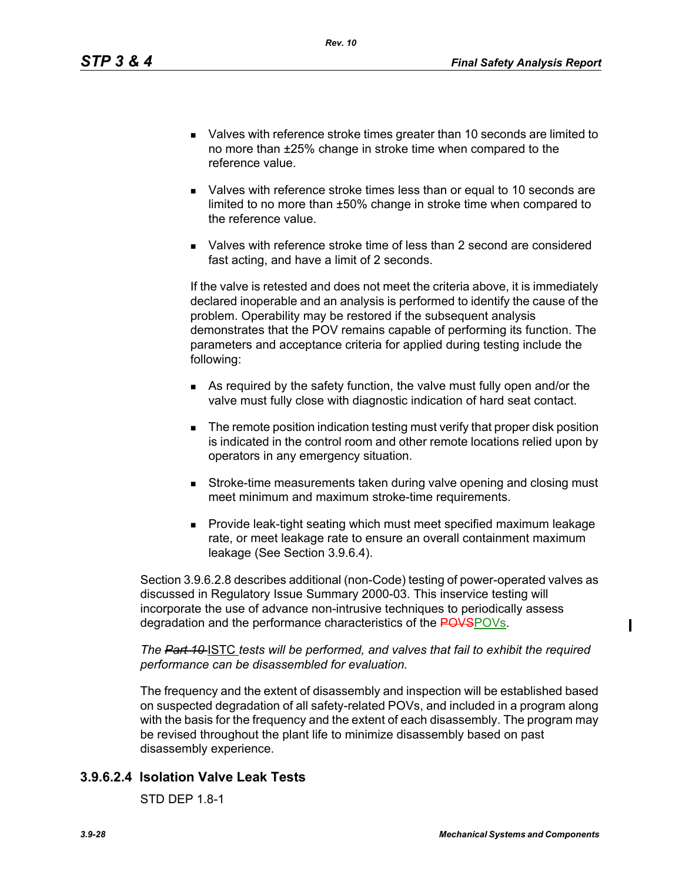- Valves with reference stroke times greater than 10 seconds are limited to no more than ±25% change in stroke time when compared to the reference value.
- Valves with reference stroke times less than or equal to 10 seconds are limited to no more than ±50% change in stroke time when compared to the reference value.
- Valves with reference stroke time of less than 2 second are considered fast acting, and have a limit of 2 seconds.

If the valve is retested and does not meet the criteria above, it is immediately declared inoperable and an analysis is performed to identify the cause of the problem. Operability may be restored if the subsequent analysis demonstrates that the POV remains capable of performing its function. The parameters and acceptance criteria for applied during testing include the following:

- As required by the safety function, the valve must fully open and/or the valve must fully close with diagnostic indication of hard seat contact.
- **The remote position indication testing must verify that proper disk position** is indicated in the control room and other remote locations relied upon by operators in any emergency situation.
- **Stroke-time measurements taken during valve opening and closing must** meet minimum and maximum stroke-time requirements.
- **Provide leak-tight seating which must meet specified maximum leakage** rate, or meet leakage rate to ensure an overall containment maximum leakage (See Section 3.9.6.4).

Section 3.9.6.2.8 describes additional (non-Code) testing of power-operated valves as discussed in Regulatory Issue Summary 2000-03. This inservice testing will incorporate the use of advance non-intrusive techniques to periodically assess degradation and the performance characteristics of the POVSPOVs.

*The Part 10* ISTC *tests will be performed, and valves that fail to exhibit the required performance can be disassembled for evaluation.* 

The frequency and the extent of disassembly and inspection will be established based on suspected degradation of all safety-related POVs, and included in a program along with the basis for the frequency and the extent of each disassembly. The program may be revised throughout the plant life to minimize disassembly based on past disassembly experience.

## **3.9.6.2.4 Isolation Valve Leak Tests**

STD DEP 1.8-1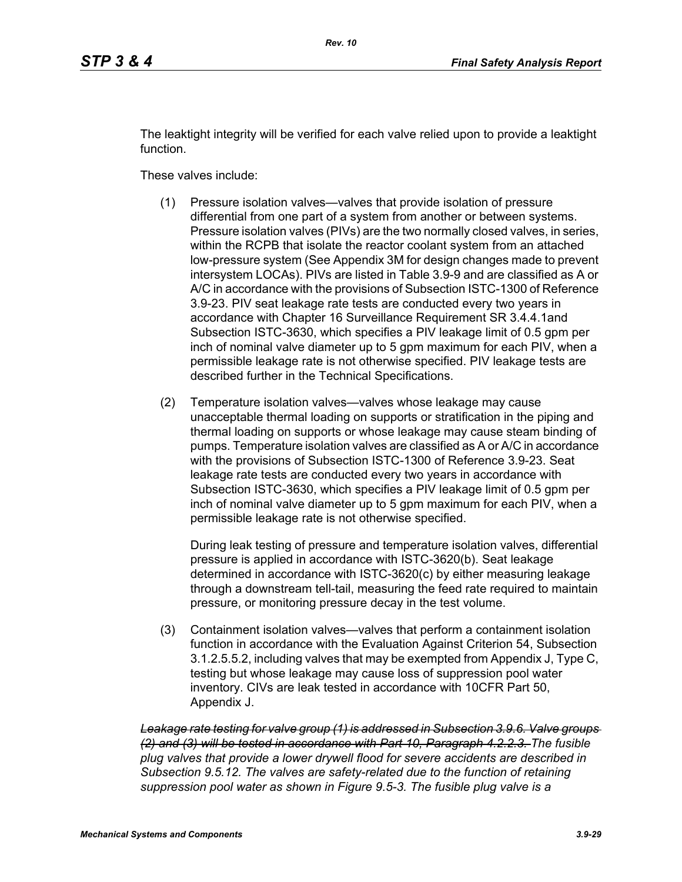The leaktight integrity will be verified for each valve relied upon to provide a leaktight function.

These valves include:

- (1) Pressure isolation valves—valves that provide isolation of pressure differential from one part of a system from another or between systems. Pressure isolation valves (PIVs) are the two normally closed valves, in series, within the RCPB that isolate the reactor coolant system from an attached low-pressure system (See Appendix 3M for design changes made to prevent intersystem LOCAs). PIVs are listed in Table 3.9-9 and are classified as A or A/C in accordance with the provisions of Subsection ISTC-1300 of Reference 3.9-23. PIV seat leakage rate tests are conducted every two years in accordance with Chapter 16 Surveillance Requirement SR 3.4.4.1and Subsection ISTC-3630, which specifies a PIV leakage limit of 0.5 gpm per inch of nominal valve diameter up to 5 gpm maximum for each PIV, when a permissible leakage rate is not otherwise specified. PIV leakage tests are described further in the Technical Specifications.
- (2) Temperature isolation valves—valves whose leakage may cause unacceptable thermal loading on supports or stratification in the piping and thermal loading on supports or whose leakage may cause steam binding of pumps. Temperature isolation valves are classified as A or A/C in accordance with the provisions of Subsection ISTC-1300 of Reference 3.9-23. Seat leakage rate tests are conducted every two years in accordance with Subsection ISTC-3630, which specifies a PIV leakage limit of 0.5 gpm per inch of nominal valve diameter up to 5 gpm maximum for each PIV, when a permissible leakage rate is not otherwise specified.

During leak testing of pressure and temperature isolation valves, differential pressure is applied in accordance with ISTC-3620(b). Seat leakage determined in accordance with ISTC-3620(c) by either measuring leakage through a downstream tell-tail, measuring the feed rate required to maintain pressure, or monitoring pressure decay in the test volume.

(3) Containment isolation valves—valves that perform a containment isolation function in accordance with the Evaluation Against Criterion 54, Subsection 3.1.2.5.5.2, including valves that may be exempted from Appendix J, Type C, testing but whose leakage may cause loss of suppression pool water inventory. CIVs are leak tested in accordance with 10CFR Part 50, Appendix J.

*Leakage rate testing for valve group (1) is addressed in Subsection 3.9.6. Valve groups (2) and (3) will be tested in accordance with Part 10, Paragraph 4.2.2.3. The fusible plug valves that provide a lower drywell flood for severe accidents are described in Subsection 9.5.12. The valves are safety-related due to the function of retaining suppression pool water as shown in Figure 9.5-3. The fusible plug valve is a*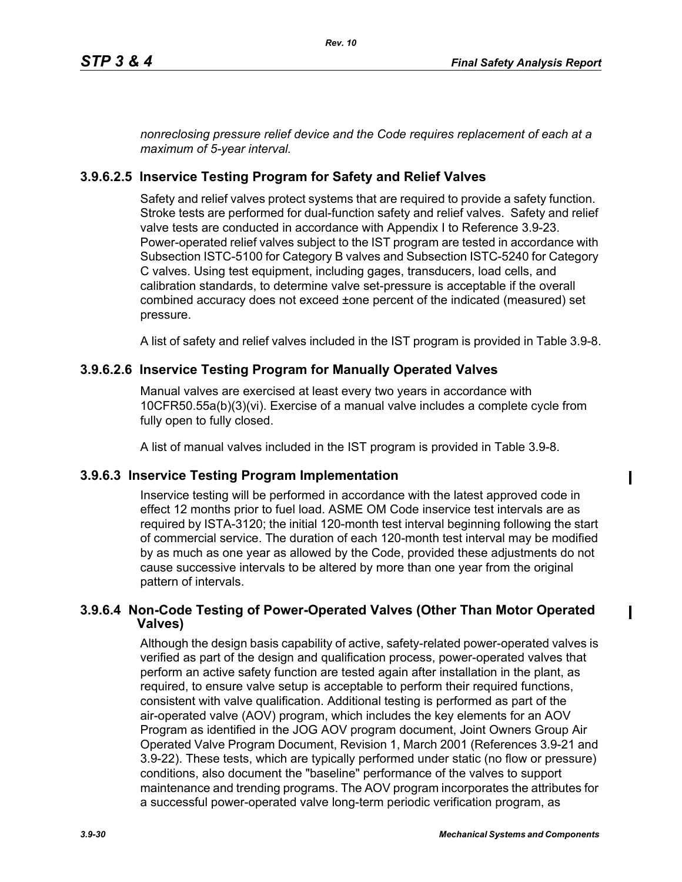*nonreclosing pressure relief device and the Code requires replacement of each at a maximum of 5-year interval.*

## **3.9.6.2.5 Inservice Testing Program for Safety and Relief Valves**

Safety and relief valves protect systems that are required to provide a safety function. Stroke tests are performed for dual-function safety and relief valves. Safety and relief valve tests are conducted in accordance with Appendix I to Reference 3.9-23. Power-operated relief valves subject to the IST program are tested in accordance with Subsection ISTC-5100 for Category B valves and Subsection ISTC-5240 for Category C valves. Using test equipment, including gages, transducers, load cells, and calibration standards, to determine valve set-pressure is acceptable if the overall combined accuracy does not exceed ±one percent of the indicated (measured) set pressure.

A list of safety and relief valves included in the IST program is provided in Table 3.9-8.

## **3.9.6.2.6 Inservice Testing Program for Manually Operated Valves**

Manual valves are exercised at least every two years in accordance with 10CFR50.55a(b)(3)(vi). Exercise of a manual valve includes a complete cycle from fully open to fully closed.

A list of manual valves included in the IST program is provided in Table 3.9-8.

### **3.9.6.3 Inservice Testing Program Implementation**

Inservice testing will be performed in accordance with the latest approved code in effect 12 months prior to fuel load. ASME OM Code inservice test intervals are as required by ISTA-3120; the initial 120-month test interval beginning following the start of commercial service. The duration of each 120-month test interval may be modified by as much as one year as allowed by the Code, provided these adjustments do not cause successive intervals to be altered by more than one year from the original pattern of intervals.

### **3.9.6.4 Non-Code Testing of Power-Operated Valves (Other Than Motor Operated Valves)**

Although the design basis capability of active, safety-related power-operated valves is verified as part of the design and qualification process, power-operated valves that perform an active safety function are tested again after installation in the plant, as required, to ensure valve setup is acceptable to perform their required functions, consistent with valve qualification. Additional testing is performed as part of the air-operated valve (AOV) program, which includes the key elements for an AOV Program as identified in the JOG AOV program document, Joint Owners Group Air Operated Valve Program Document, Revision 1, March 2001 (References 3.9-21 and 3.9-22). These tests, which are typically performed under static (no flow or pressure) conditions, also document the "baseline" performance of the valves to support maintenance and trending programs. The AOV program incorporates the attributes for a successful power-operated valve long-term periodic verification program, as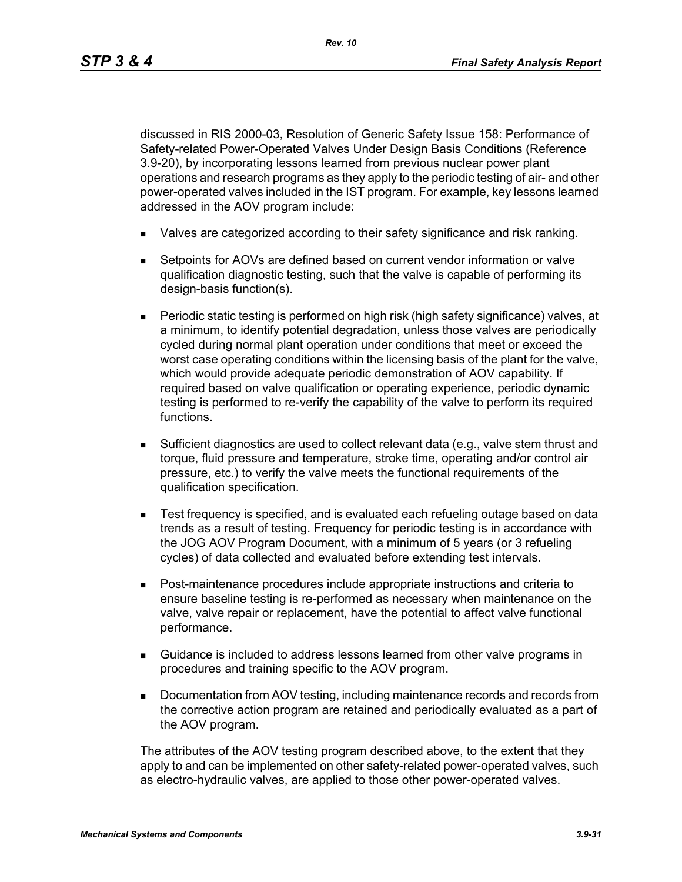*Rev. 10*

discussed in RIS 2000-03, Resolution of Generic Safety Issue 158: Performance of Safety-related Power-Operated Valves Under Design Basis Conditions (Reference 3.9-20), by incorporating lessons learned from previous nuclear power plant operations and research programs as they apply to the periodic testing of air- and other power-operated valves included in the IST program. For example, key lessons learned addressed in the AOV program include:

- Valves are categorized according to their safety significance and risk ranking.
- Setpoints for AOVs are defined based on current vendor information or valve qualification diagnostic testing, such that the valve is capable of performing its design-basis function(s).
- Periodic static testing is performed on high risk (high safety significance) valves, at a minimum, to identify potential degradation, unless those valves are periodically cycled during normal plant operation under conditions that meet or exceed the worst case operating conditions within the licensing basis of the plant for the valve, which would provide adequate periodic demonstration of AOV capability. If required based on valve qualification or operating experience, periodic dynamic testing is performed to re-verify the capability of the valve to perform its required functions.
- Sufficient diagnostics are used to collect relevant data (e.g., valve stem thrust and torque, fluid pressure and temperature, stroke time, operating and/or control air pressure, etc.) to verify the valve meets the functional requirements of the qualification specification.
- **Test frequency is specified, and is evaluated each refueling outage based on data** trends as a result of testing. Frequency for periodic testing is in accordance with the JOG AOV Program Document, with a minimum of 5 years (or 3 refueling cycles) of data collected and evaluated before extending test intervals.
- Post-maintenance procedures include appropriate instructions and criteria to ensure baseline testing is re-performed as necessary when maintenance on the valve, valve repair or replacement, have the potential to affect valve functional performance.
- Guidance is included to address lessons learned from other valve programs in procedures and training specific to the AOV program.
- **Documentation from AOV testing, including maintenance records and records from** the corrective action program are retained and periodically evaluated as a part of the AOV program.

The attributes of the AOV testing program described above, to the extent that they apply to and can be implemented on other safety-related power-operated valves, such as electro-hydraulic valves, are applied to those other power-operated valves.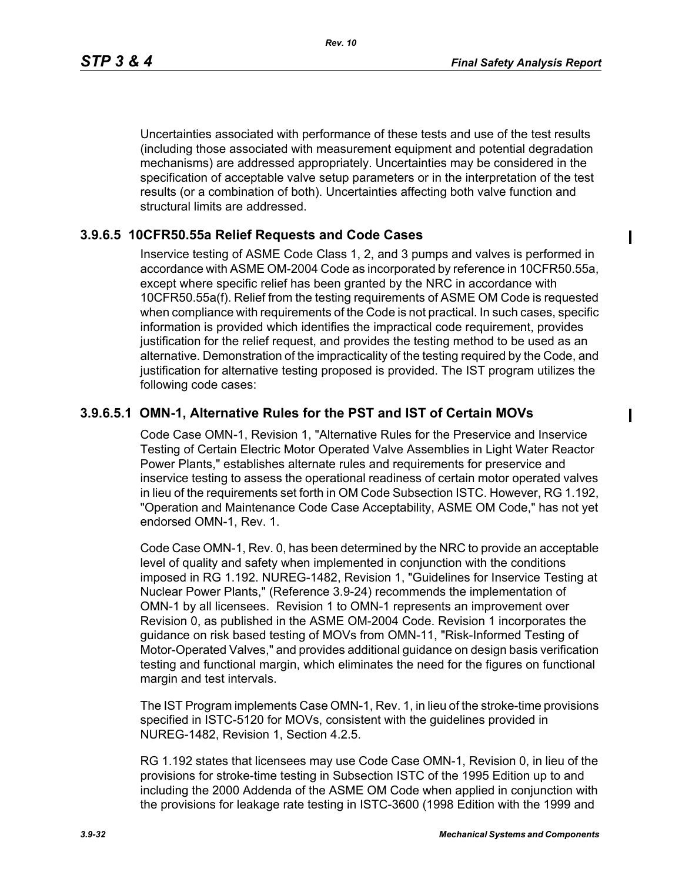*Rev. 10*

Uncertainties associated with performance of these tests and use of the test results (including those associated with measurement equipment and potential degradation mechanisms) are addressed appropriately. Uncertainties may be considered in the specification of acceptable valve setup parameters or in the interpretation of the test results (or a combination of both). Uncertainties affecting both valve function and structural limits are addressed.

## **3.9.6.5 10CFR50.55a Relief Requests and Code Cases**

Inservice testing of ASME Code Class 1, 2, and 3 pumps and valves is performed in accordance with ASME OM-2004 Code as incorporated by reference in 10CFR50.55a, except where specific relief has been granted by the NRC in accordance with 10CFR50.55a(f). Relief from the testing requirements of ASME OM Code is requested when compliance with requirements of the Code is not practical. In such cases, specific information is provided which identifies the impractical code requirement, provides justification for the relief request, and provides the testing method to be used as an alternative. Demonstration of the impracticality of the testing required by the Code, and justification for alternative testing proposed is provided. The IST program utilizes the following code cases:

## **3.9.6.5.1 OMN-1, Alternative Rules for the PST and IST of Certain MOVs**

Code Case OMN-1, Revision 1, "Alternative Rules for the Preservice and Inservice Testing of Certain Electric Motor Operated Valve Assemblies in Light Water Reactor Power Plants," establishes alternate rules and requirements for preservice and inservice testing to assess the operational readiness of certain motor operated valves in lieu of the requirements set forth in OM Code Subsection ISTC. However, RG 1.192, "Operation and Maintenance Code Case Acceptability, ASME OM Code," has not yet endorsed OMN-1, Rev. 1.

Code Case OMN-1, Rev. 0, has been determined by the NRC to provide an acceptable level of quality and safety when implemented in conjunction with the conditions imposed in RG 1.192. NUREG-1482, Revision 1, "Guidelines for Inservice Testing at Nuclear Power Plants," (Reference 3.9-24) recommends the implementation of OMN-1 by all licensees. Revision 1 to OMN-1 represents an improvement over Revision 0, as published in the ASME OM-2004 Code. Revision 1 incorporates the guidance on risk based testing of MOVs from OMN-11, "Risk-Informed Testing of Motor-Operated Valves," and provides additional guidance on design basis verification testing and functional margin, which eliminates the need for the figures on functional margin and test intervals.

The IST Program implements Case OMN-1, Rev. 1, in lieu of the stroke-time provisions specified in ISTC-5120 for MOVs, consistent with the guidelines provided in NUREG-1482, Revision 1, Section 4.2.5.

RG 1.192 states that licensees may use Code Case OMN-1, Revision 0, in lieu of the provisions for stroke-time testing in Subsection ISTC of the 1995 Edition up to and including the 2000 Addenda of the ASME OM Code when applied in conjunction with the provisions for leakage rate testing in ISTC-3600 (1998 Edition with the 1999 and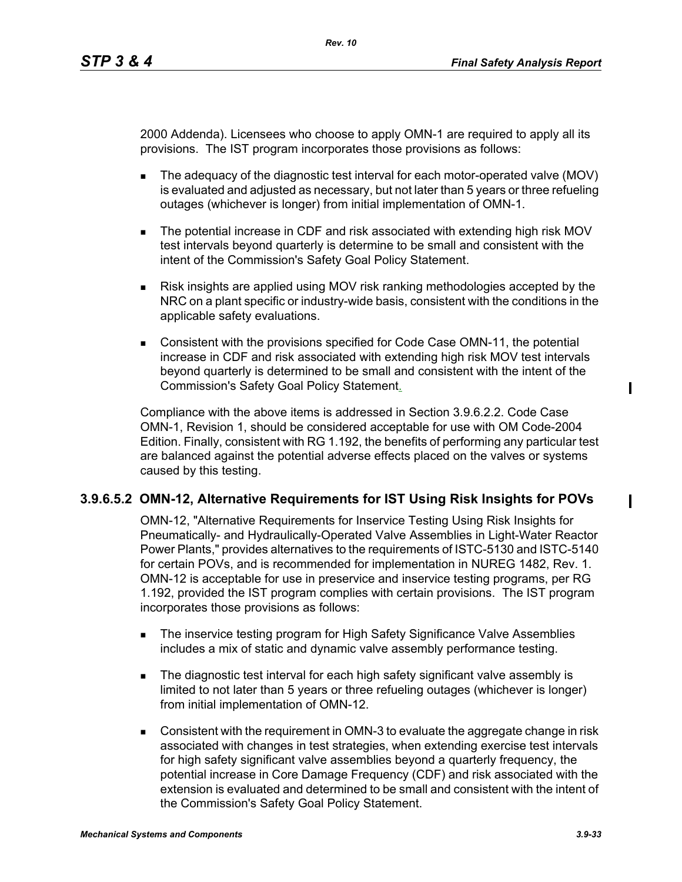2000 Addenda). Licensees who choose to apply OMN-1 are required to apply all its provisions. The IST program incorporates those provisions as follows:

- The adequacy of the diagnostic test interval for each motor-operated valve (MOV) is evaluated and adjusted as necessary, but not later than 5 years or three refueling outages (whichever is longer) from initial implementation of OMN-1.
- The potential increase in CDF and risk associated with extending high risk MOV test intervals beyond quarterly is determine to be small and consistent with the intent of the Commission's Safety Goal Policy Statement.
- Risk insights are applied using MOV risk ranking methodologies accepted by the NRC on a plant specific or industry-wide basis, consistent with the conditions in the applicable safety evaluations.
- **Consistent with the provisions specified for Code Case OMN-11, the potential** increase in CDF and risk associated with extending high risk MOV test intervals beyond quarterly is determined to be small and consistent with the intent of the Commission's Safety Goal Policy Statement.

Compliance with the above items is addressed in Section 3.9.6.2.2. Code Case OMN-1, Revision 1, should be considered acceptable for use with OM Code-2004 Edition. Finally, consistent with RG 1.192, the benefits of performing any particular test are balanced against the potential adverse effects placed on the valves or systems caused by this testing.

## **3.9.6.5.2 OMN-12, Alternative Requirements for IST Using Risk Insights for POVs**

OMN-12, "Alternative Requirements for Inservice Testing Using Risk Insights for Pneumatically- and Hydraulically-Operated Valve Assemblies in Light-Water Reactor Power Plants," provides alternatives to the requirements of ISTC-5130 and ISTC-5140 for certain POVs, and is recommended for implementation in NUREG 1482, Rev. 1. OMN-12 is acceptable for use in preservice and inservice testing programs, per RG 1.192, provided the IST program complies with certain provisions. The IST program incorporates those provisions as follows:

- **The inservice testing program for High Safety Significance Valve Assemblies** includes a mix of static and dynamic valve assembly performance testing.
- The diagnostic test interval for each high safety significant valve assembly is limited to not later than 5 years or three refueling outages (whichever is longer) from initial implementation of OMN-12.
- Consistent with the requirement in OMN-3 to evaluate the aggregate change in risk associated with changes in test strategies, when extending exercise test intervals for high safety significant valve assemblies beyond a quarterly frequency, the potential increase in Core Damage Frequency (CDF) and risk associated with the extension is evaluated and determined to be small and consistent with the intent of the Commission's Safety Goal Policy Statement.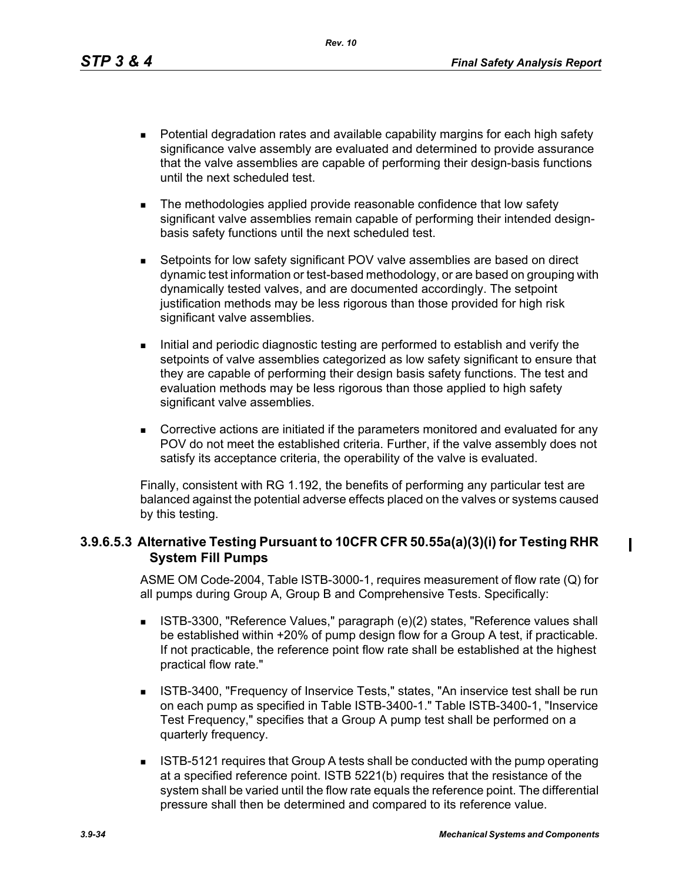*Rev. 10*

- **Potential degradation rates and available capability margins for each high safety** significance valve assembly are evaluated and determined to provide assurance that the valve assemblies are capable of performing their design-basis functions until the next scheduled test.
- The methodologies applied provide reasonable confidence that low safety significant valve assemblies remain capable of performing their intended designbasis safety functions until the next scheduled test.
- Setpoints for low safety significant POV valve assemblies are based on direct dynamic test information or test-based methodology, or are based on grouping with dynamically tested valves, and are documented accordingly. The setpoint justification methods may be less rigorous than those provided for high risk significant valve assemblies.
- Initial and periodic diagnostic testing are performed to establish and verify the setpoints of valve assemblies categorized as low safety significant to ensure that they are capable of performing their design basis safety functions. The test and evaluation methods may be less rigorous than those applied to high safety significant valve assemblies.
- Corrective actions are initiated if the parameters monitored and evaluated for any POV do not meet the established criteria. Further, if the valve assembly does not satisfy its acceptance criteria, the operability of the valve is evaluated.

Finally, consistent with RG 1.192, the benefits of performing any particular test are balanced against the potential adverse effects placed on the valves or systems caused by this testing.

## **3.9.6.5.3 Alternative Testing Pursuant to 10CFR CFR 50.55a(a)(3)(i) for Testing RHR System Fill Pumps**

ASME OM Code-2004, Table ISTB-3000-1, requires measurement of flow rate (Q) for all pumps during Group A, Group B and Comprehensive Tests. Specifically:

- ISTB-3300, "Reference Values," paragraph (e)(2) states, "Reference values shall be established within +20% of pump design flow for a Group A test, if practicable. If not practicable, the reference point flow rate shall be established at the highest practical flow rate."
- **ISTB-3400, "Frequency of Inservice Tests," states, "An inservice test shall be run** on each pump as specified in Table ISTB-3400-1." Table ISTB-3400-1, "Inservice Test Frequency," specifies that a Group A pump test shall be performed on a quarterly frequency.
- **ISTB-5121 requires that Group A tests shall be conducted with the pump operating** at a specified reference point. ISTB 5221(b) requires that the resistance of the system shall be varied until the flow rate equals the reference point. The differential pressure shall then be determined and compared to its reference value.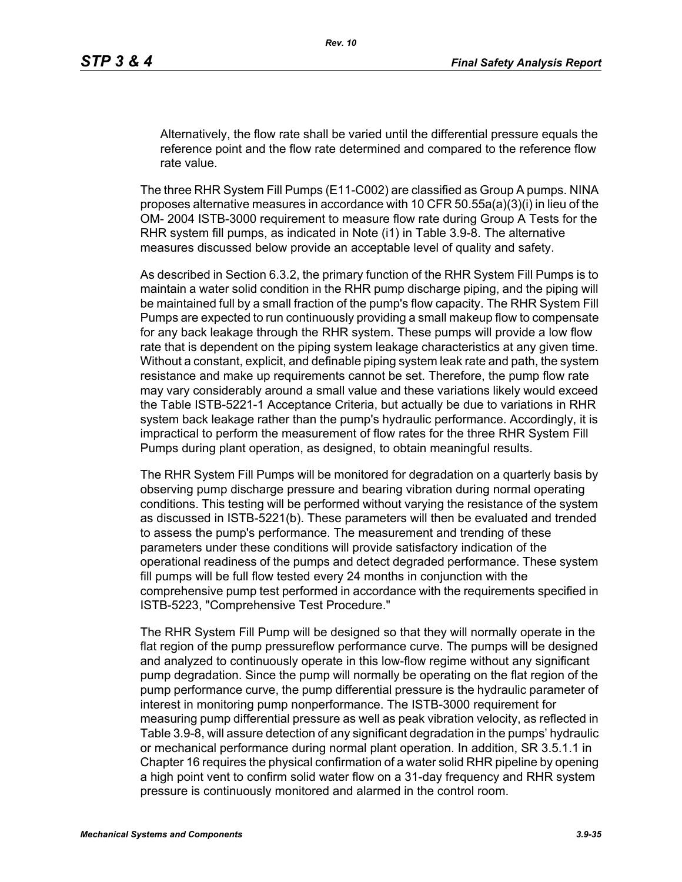Alternatively, the flow rate shall be varied until the differential pressure equals the reference point and the flow rate determined and compared to the reference flow rate value.

The three RHR System Fill Pumps (E11-C002) are classified as Group A pumps. NINA proposes alternative measures in accordance with 10 CFR 50.55a(a)(3)(i) in lieu of the OM- 2004 ISTB-3000 requirement to measure flow rate during Group A Tests for the RHR system fill pumps, as indicated in Note (i1) in Table 3.9-8. The alternative measures discussed below provide an acceptable level of quality and safety.

As described in Section 6.3.2, the primary function of the RHR System Fill Pumps is to maintain a water solid condition in the RHR pump discharge piping, and the piping will be maintained full by a small fraction of the pump's flow capacity. The RHR System Fill Pumps are expected to run continuously providing a small makeup flow to compensate for any back leakage through the RHR system. These pumps will provide a low flow rate that is dependent on the piping system leakage characteristics at any given time. Without a constant, explicit, and definable piping system leak rate and path, the system resistance and make up requirements cannot be set. Therefore, the pump flow rate may vary considerably around a small value and these variations likely would exceed the Table ISTB-5221-1 Acceptance Criteria, but actually be due to variations in RHR system back leakage rather than the pump's hydraulic performance. Accordingly, it is impractical to perform the measurement of flow rates for the three RHR System Fill Pumps during plant operation, as designed, to obtain meaningful results.

The RHR System Fill Pumps will be monitored for degradation on a quarterly basis by observing pump discharge pressure and bearing vibration during normal operating conditions. This testing will be performed without varying the resistance of the system as discussed in ISTB-5221(b). These parameters will then be evaluated and trended to assess the pump's performance. The measurement and trending of these parameters under these conditions will provide satisfactory indication of the operational readiness of the pumps and detect degraded performance. These system fill pumps will be full flow tested every 24 months in conjunction with the comprehensive pump test performed in accordance with the requirements specified in ISTB-5223, "Comprehensive Test Procedure."

The RHR System Fill Pump will be designed so that they will normally operate in the flat region of the pump pressureflow performance curve. The pumps will be designed and analyzed to continuously operate in this low-flow regime without any significant pump degradation. Since the pump will normally be operating on the flat region of the pump performance curve, the pump differential pressure is the hydraulic parameter of interest in monitoring pump nonperformance. The ISTB-3000 requirement for measuring pump differential pressure as well as peak vibration velocity, as reflected in Table 3.9-8, will assure detection of any significant degradation in the pumps' hydraulic or mechanical performance during normal plant operation. In addition, SR 3.5.1.1 in Chapter 16 requires the physical confirmation of a water solid RHR pipeline by opening a high point vent to confirm solid water flow on a 31-day frequency and RHR system pressure is continuously monitored and alarmed in the control room.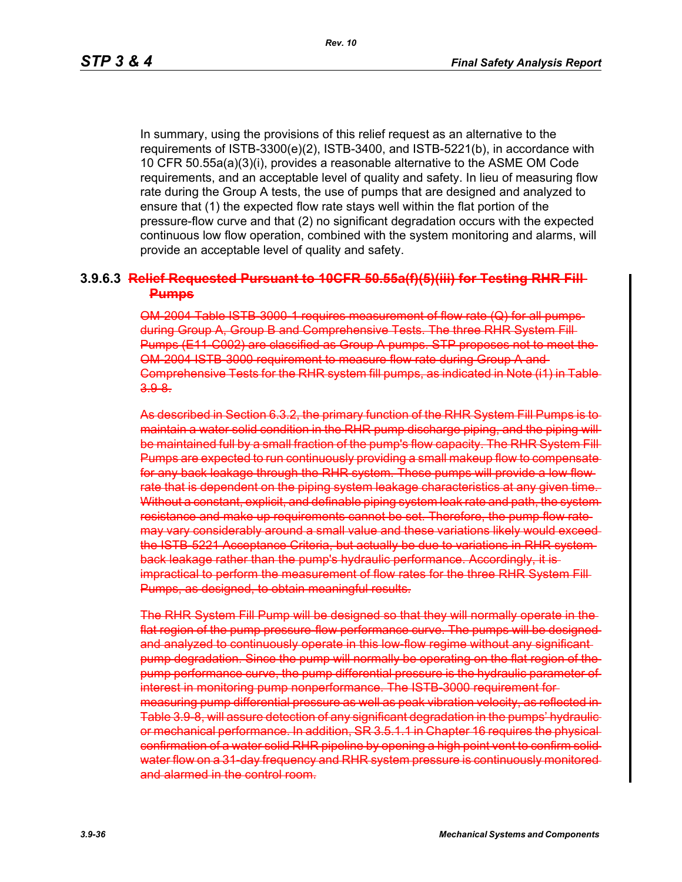In summary, using the provisions of this relief request as an alternative to the requirements of ISTB-3300(e)(2), ISTB-3400, and ISTB-5221(b), in accordance with 10 CFR 50.55a(a)(3)(i), provides a reasonable alternative to the ASME OM Code requirements, and an acceptable level of quality and safety. In lieu of measuring flow rate during the Group A tests, the use of pumps that are designed and analyzed to ensure that (1) the expected flow rate stays well within the flat portion of the pressure-flow curve and that (2) no significant degradation occurs with the expected continuous low flow operation, combined with the system monitoring and alarms, will provide an acceptable level of quality and safety.

### **3.9.6.3 Relief Requested Pursuant to 10CFR 50.55a(f)(5)(iii) for Testing RHR Fill Pumps**

OM-2004 Table ISTB-3000-1 requires measurement of flow rate (Q) for all pumps during Group A, Group B and Comprehensive Tests. The three RHR System Fill Pumps (E11-C002) are classified as Group A pumps. STP proposes not to meet the OM-2004 ISTB-3000 requirement to measure flow rate during Group A and Comprehensive Tests for the RHR system fill pumps, as indicated in Note (i1) in Table 3.9-8.

As described in Section 6.3.2, the primary function of the RHR System Fill Pumps is to maintain a water solid condition in the RHR pump discharge piping, and the piping will be maintained full by a small fraction of the pump's flow capacity. The RHR System Fill-Pumps are expected to run continuously providing a small makeup flow to compensatefor any back leakage through the RHR system. These pumps will provide a low flow rate that is dependent on the piping system leakage characteristics at any given time. Without a constant, explicit, and definable piping system leak rate and path, the systemresistance and make up requirements cannot be set. Therefore, the pump flow rate may vary considerably around a small value and these variations likely would exceedthe ISTB-5221 Acceptance Criteria, but actually be due to variations in RHR system back leakage rather than the pump's hydraulic performance. Accordingly, it is impractical to perform the measurement of flow rates for the three RHR System Fill Pumps, as designed, to obtain meaningful results.

The RHR System Fill Pump will be designed so that they will normally operate in the flat region of the pump pressure-flow performance curve. The pumps will be designed and analyzed to continuously operate in this low-flow regime without any significant pump degradation. Since the pump will normally be operating on the flat region of the pump performance curve, the pump differential pressure is the hydraulic parameter of interest in monitoring pump nonperformance. The ISTB-3000 requirement for measuring pump differential pressure as well as peak vibration velocity, as reflected in Table 3.9-8, will assure detection of any significant degradation in the pumps' hydraulicor mechanical performance. In addition, SR 3.5.1.1 in Chapter 16 requires the physical confirmation of a water solid RHR pipeline by opening a high point vent to confirm solid water flow on a 31-day frequency and RHR system pressure is continuously monitored and alarmed in the control room.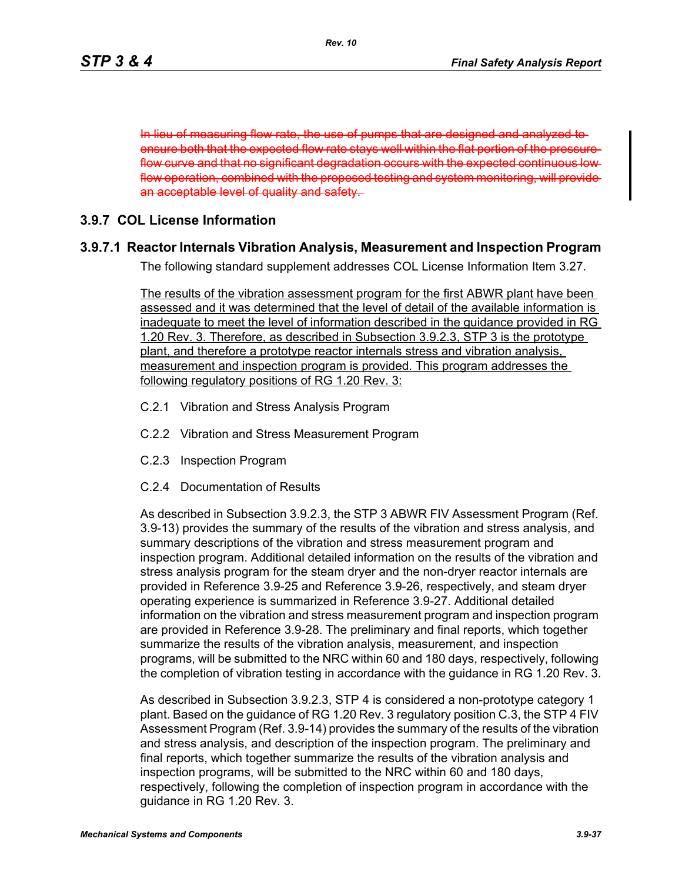In lieu of measuring flow rate, the use of pumps that are designed and analyzed to ensure both that the expected flow rate stays well within the flat portion of the pressureflow curve and that no significant degradation occurs with the expected continuous low flow operation, combined with the proposed testing and system monitoring, will provide an acceptable level of quality and safety.

### **3.9.7 COL License Information**

### **3.9.7.1 Reactor Internals Vibration Analysis, Measurement and Inspection Program**

The following standard supplement addresses COL License Information Item 3.27.

The results of the vibration assessment program for the first ABWR plant have been assessed and it was determined that the level of detail of the available information is inadequate to meet the level of information described in the guidance provided in RG 1.20 Rev. 3. Therefore, as described in Subsection 3.9.2.3, STP 3 is the prototype plant, and therefore a prototype reactor internals stress and vibration analysis, measurement and inspection program is provided. This program addresses the following regulatory positions of RG 1.20 Rev. 3:

- C.2.1 Vibration and Stress Analysis Program
- C.2.2 Vibration and Stress Measurement Program
- C.2.3 Inspection Program
- C.2.4 Documentation of Results

As described in Subsection 3.9.2.3, the STP 3 ABWR FIV Assessment Program (Ref. 3.9-13) provides the summary of the results of the vibration and stress analysis, and summary descriptions of the vibration and stress measurement program and inspection program. Additional detailed information on the results of the vibration and stress analysis program for the steam dryer and the non-dryer reactor internals are provided in Reference 3.9-25 and Reference 3.9-26, respectively, and steam dryer operating experience is summarized in Reference 3.9-27. Additional detailed information on the vibration and stress measurement program and inspection program are provided in Reference 3.9-28. The preliminary and final reports, which together summarize the results of the vibration analysis, measurement, and inspection programs, will be submitted to the NRC within 60 and 180 days, respectively, following the completion of vibration testing in accordance with the guidance in RG 1.20 Rev. 3.

As described in Subsection 3.9.2.3, STP 4 is considered a non-prototype category 1 plant. Based on the guidance of RG 1.20 Rev. 3 regulatory position C.3, the STP 4 FIV Assessment Program (Ref. 3.9-14) provides the summary of the results of the vibration and stress analysis, and description of the inspection program. The preliminary and final reports, which together summarize the results of the vibration analysis and inspection programs, will be submitted to the NRC within 60 and 180 days, respectively, following the completion of inspection program in accordance with the guidance in RG 1.20 Rev. 3.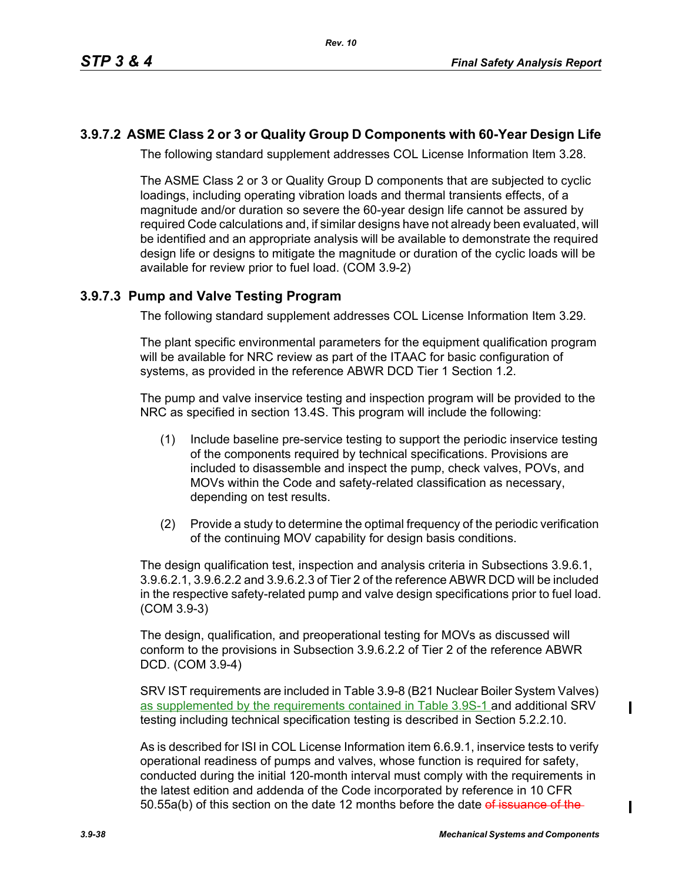## **3.9.7.2 ASME Class 2 or 3 or Quality Group D Components with 60-Year Design Life**

The following standard supplement addresses COL License Information Item 3.28.

The ASME Class 2 or 3 or Quality Group D components that are subjected to cyclic loadings, including operating vibration loads and thermal transients effects, of a magnitude and/or duration so severe the 60-year design life cannot be assured by required Code calculations and, if similar designs have not already been evaluated, will be identified and an appropriate analysis will be available to demonstrate the required design life or designs to mitigate the magnitude or duration of the cyclic loads will be available for review prior to fuel load. (COM 3.9-2)

## **3.9.7.3 Pump and Valve Testing Program**

The following standard supplement addresses COL License Information Item 3.29.

The plant specific environmental parameters for the equipment qualification program will be available for NRC review as part of the ITAAC for basic configuration of systems, as provided in the reference ABWR DCD Tier 1 Section 1.2.

The pump and valve inservice testing and inspection program will be provided to the NRC as specified in section 13.4S. This program will include the following:

- (1) Include baseline pre-service testing to support the periodic inservice testing of the components required by technical specifications. Provisions are included to disassemble and inspect the pump, check valves, POVs, and MOVs within the Code and safety-related classification as necessary, depending on test results.
- (2) Provide a study to determine the optimal frequency of the periodic verification of the continuing MOV capability for design basis conditions.

The design qualification test, inspection and analysis criteria in Subsections 3.9.6.1, 3.9.6.2.1, 3.9.6.2.2 and 3.9.6.2.3 of Tier 2 of the reference ABWR DCD will be included in the respective safety-related pump and valve design specifications prior to fuel load. (COM 3.9-3)

The design, qualification, and preoperational testing for MOVs as discussed will conform to the provisions in Subsection 3.9.6.2.2 of Tier 2 of the reference ABWR DCD. (COM 3.9-4)

SRV IST requirements are included in Table 3.9-8 (B21 Nuclear Boiler System Valves) as supplemented by the requirements contained in Table 3.9S-1 and additional SRV testing including technical specification testing is described in Section 5.2.2.10.

As is described for ISI in COL License Information item 6.6.9.1, inservice tests to verify operational readiness of pumps and valves, whose function is required for safety, conducted during the initial 120-month interval must comply with the requirements in the latest edition and addenda of the Code incorporated by reference in 10 CFR 50.55a(b) of this section on the date 12 months before the date of issuance of the

I

I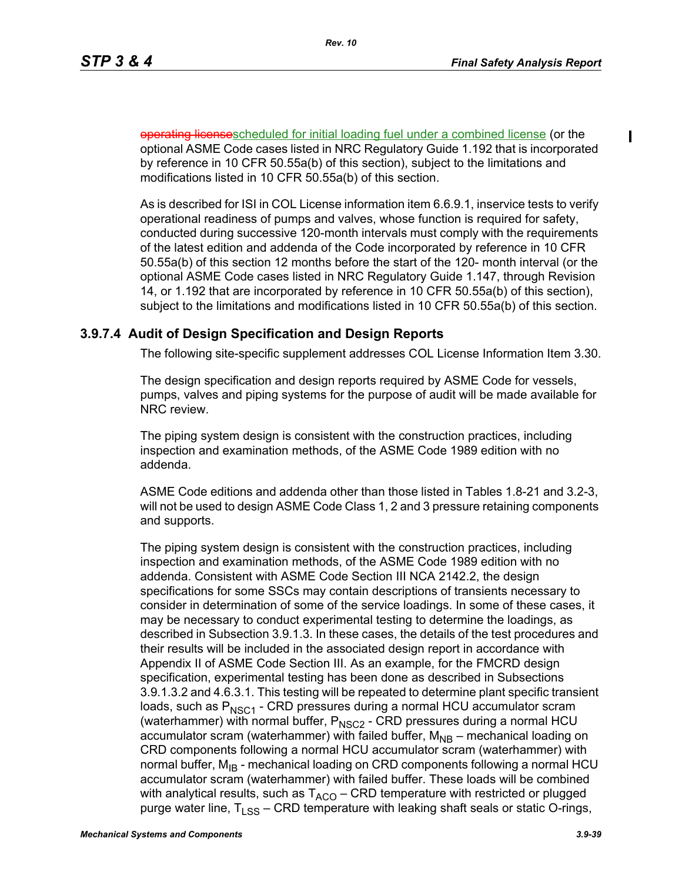operating licensescheduled for initial loading fuel under a combined license (or the optional ASME Code cases listed in NRC Regulatory Guide 1.192 that is incorporated by reference in 10 CFR 50.55a(b) of this section), subject to the limitations and modifications listed in 10 CFR 50.55a(b) of this section.

As is described for ISI in COL License information item 6.6.9.1, inservice tests to verify operational readiness of pumps and valves, whose function is required for safety, conducted during successive 120-month intervals must comply with the requirements of the latest edition and addenda of the Code incorporated by reference in 10 CFR 50.55a(b) of this section 12 months before the start of the 120- month interval (or the optional ASME Code cases listed in NRC Regulatory Guide 1.147, through Revision 14, or 1.192 that are incorporated by reference in 10 CFR 50.55a(b) of this section), subject to the limitations and modifications listed in 10 CFR 50.55a(b) of this section.

### **3.9.7.4 Audit of Design Specification and Design Reports**

The following site-specific supplement addresses COL License Information Item 3.30.

The design specification and design reports required by ASME Code for vessels, pumps, valves and piping systems for the purpose of audit will be made available for NRC review.

The piping system design is consistent with the construction practices, including inspection and examination methods, of the ASME Code 1989 edition with no addenda.

ASME Code editions and addenda other than those listed in Tables 1.8-21 and 3.2-3, will not be used to design ASME Code Class 1, 2 and 3 pressure retaining components and supports.

The piping system design is consistent with the construction practices, including inspection and examination methods, of the ASME Code 1989 edition with no addenda. Consistent with ASME Code Section III NCA 2142.2, the design specifications for some SSCs may contain descriptions of transients necessary to consider in determination of some of the service loadings. In some of these cases, it may be necessary to conduct experimental testing to determine the loadings, as described in Subsection 3.9.1.3. In these cases, the details of the test procedures and their results will be included in the associated design report in accordance with Appendix II of ASME Code Section III. As an example, for the FMCRD design specification, experimental testing has been done as described in Subsections 3.9.1.3.2 and 4.6.3.1. This testing will be repeated to determine plant specific transient loads, such as  $P_{NSC1}$  - CRD pressures during a normal HCU accumulator scram (waterhammer) with normal buffer,  $P_{NSC2}$  - CRD pressures during a normal HCU accumulator scram (waterhammer) with failed buffer,  $M_{NB}$  – mechanical loading on CRD components following a normal HCU accumulator scram (waterhammer) with normal buffer,  $M_{IB}$  - mechanical loading on CRD components following a normal HCU accumulator scram (waterhammer) with failed buffer. These loads will be combined with analytical results, such as  $T_{ACO}$  – CRD temperature with restricted or plugged purge water line,  $T_{LSS}$  – CRD temperature with leaking shaft seals or static O-rings,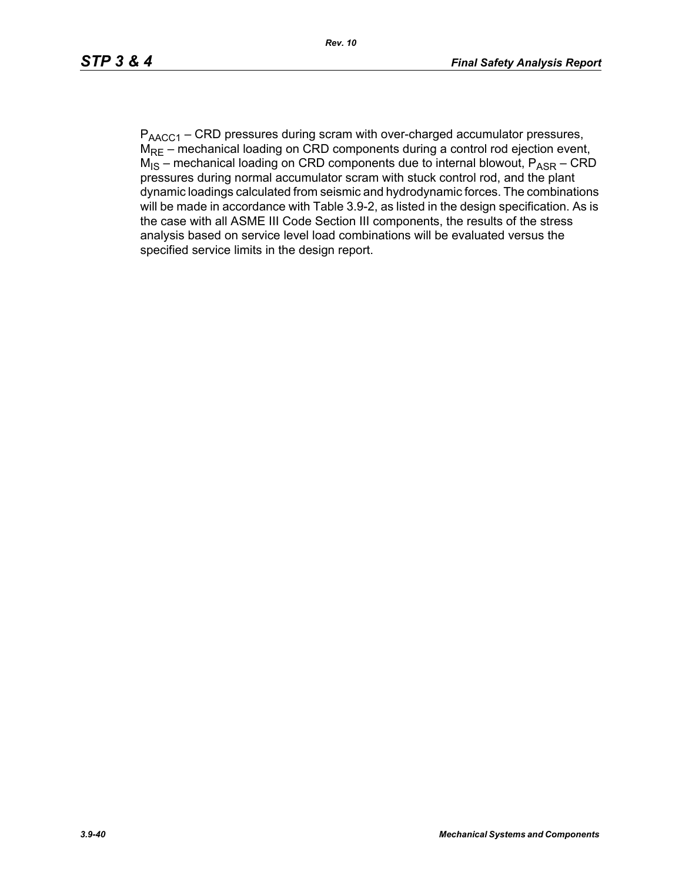$P_{\text{AACC1}}$  – CRD pressures during scram with over-charged accumulator pressures,  $M_{\text{RE}}$  – mechanical loading on CRD components during a control rod ejection event,  $M_{IS}$  – mechanical loading on CRD components due to internal blowout,  $P_{ASR}$  – CRD pressures during normal accumulator scram with stuck control rod, and the plant dynamic loadings calculated from seismic and hydrodynamic forces. The combinations will be made in accordance with Table 3.9-2, as listed in the design specification. As is the case with all ASME III Code Section III components, the results of the stress analysis based on service level load combinations will be evaluated versus the specified service limits in the design report.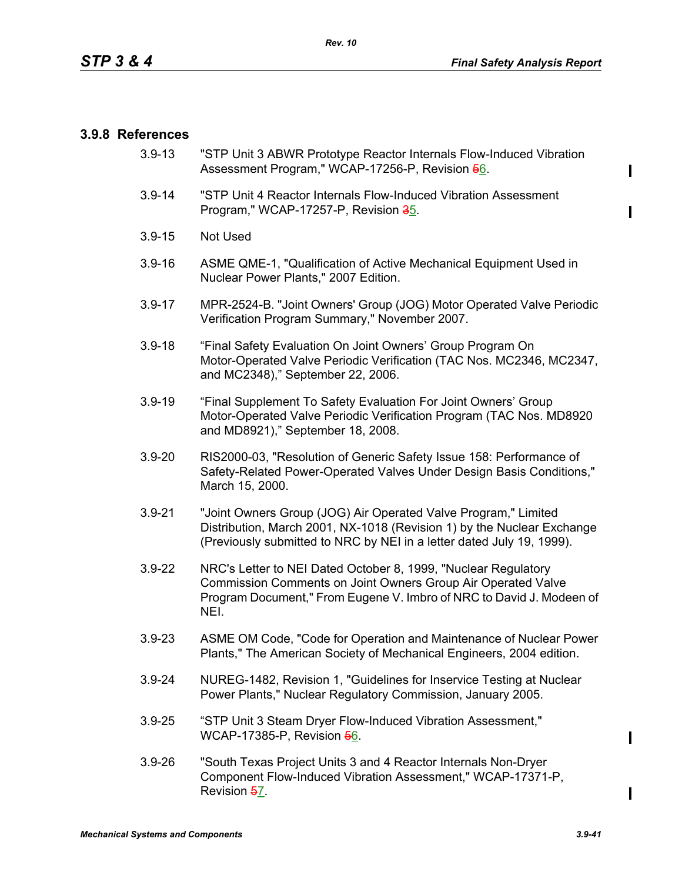### **3.9.8 References**

- 3.9-13 "STP Unit 3 ABWR Prototype Reactor Internals Flow-Induced Vibration Assessment Program," WCAP-17256-P, Revision 56.
- 3.9-14 "STP Unit 4 Reactor Internals Flow-Induced Vibration Assessment Program," WCAP-17257-P, Revision 35.
- 3.9-15 Not Used
- 3.9-16 ASME QME-1, "Qualification of Active Mechanical Equipment Used in Nuclear Power Plants," 2007 Edition.
- 3.9-17 MPR-2524-B. "Joint Owners' Group (JOG) Motor Operated Valve Periodic Verification Program Summary," November 2007.
- 3.9-18 "Final Safety Evaluation On Joint Owners' Group Program On Motor-Operated Valve Periodic Verification (TAC Nos. MC2346, MC2347, and MC2348)," September 22, 2006.
- 3.9-19 "Final Supplement To Safety Evaluation For Joint Owners' Group Motor-Operated Valve Periodic Verification Program (TAC Nos. MD8920 and MD8921)," September 18, 2008.
- 3.9-20 RIS2000-03, "Resolution of Generic Safety Issue 158: Performance of Safety-Related Power-Operated Valves Under Design Basis Conditions," March 15, 2000.
- 3.9-21 "Joint Owners Group (JOG) Air Operated Valve Program," Limited Distribution, March 2001, NX-1018 (Revision 1) by the Nuclear Exchange (Previously submitted to NRC by NEI in a letter dated July 19, 1999).
- 3.9-22 NRC's Letter to NEI Dated October 8, 1999, "Nuclear Regulatory Commission Comments on Joint Owners Group Air Operated Valve Program Document," From Eugene V. Imbro of NRC to David J. Modeen of NEI.
- 3.9-23 ASME OM Code, "Code for Operation and Maintenance of Nuclear Power Plants," The American Society of Mechanical Engineers, 2004 edition.
- 3.9-24 NUREG-1482, Revision 1, "Guidelines for Inservice Testing at Nuclear Power Plants," Nuclear Regulatory Commission, January 2005.
- 3.9-25 "STP Unit 3 Steam Dryer Flow-Induced Vibration Assessment," WCAP-17385-P, Revision 56.
- 3.9-26 "South Texas Project Units 3 and 4 Reactor Internals Non-Dryer Component Flow-Induced Vibration Assessment," WCAP-17371-P, Revision 57.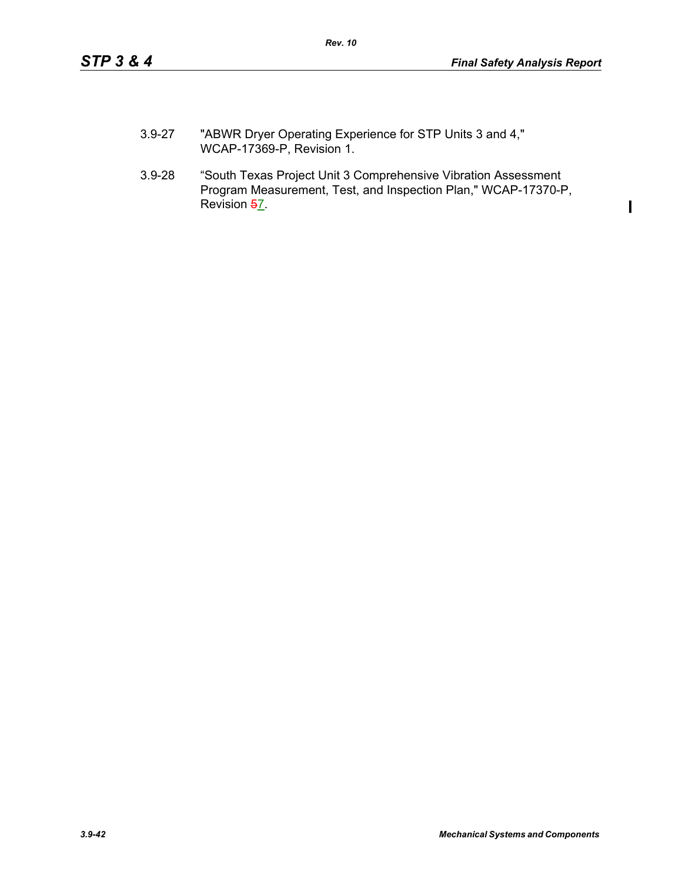$\mathbf I$ 

- 3.9-27 "ABWR Dryer Operating Experience for STP Units 3 and 4," WCAP-17369-P, Revision 1.
- 3.9-28 "South Texas Project Unit 3 Comprehensive Vibration Assessment Program Measurement, Test, and Inspection Plan," WCAP-17370-P, Revision 57.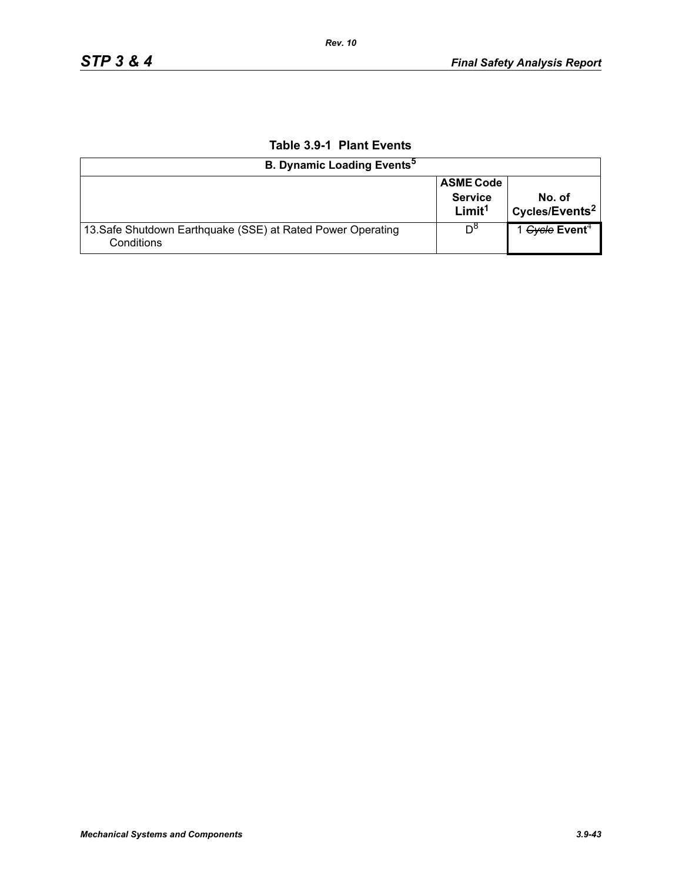| <b>B. Dynamic Loading Events<sup>5</sup></b>                              |                                                          |                                      |  |  |  |
|---------------------------------------------------------------------------|----------------------------------------------------------|--------------------------------------|--|--|--|
|                                                                           | <b>ASME Code</b><br><b>Service</b><br>Limit <sup>1</sup> | No. of<br>Cycles/Events <sup>2</sup> |  |  |  |
| 13. Safe Shutdown Earthquake (SSE) at Rated Power Operating<br>Conditions | $D^{\circ}$                                              | 1 Gycle Event <sup>4</sup>           |  |  |  |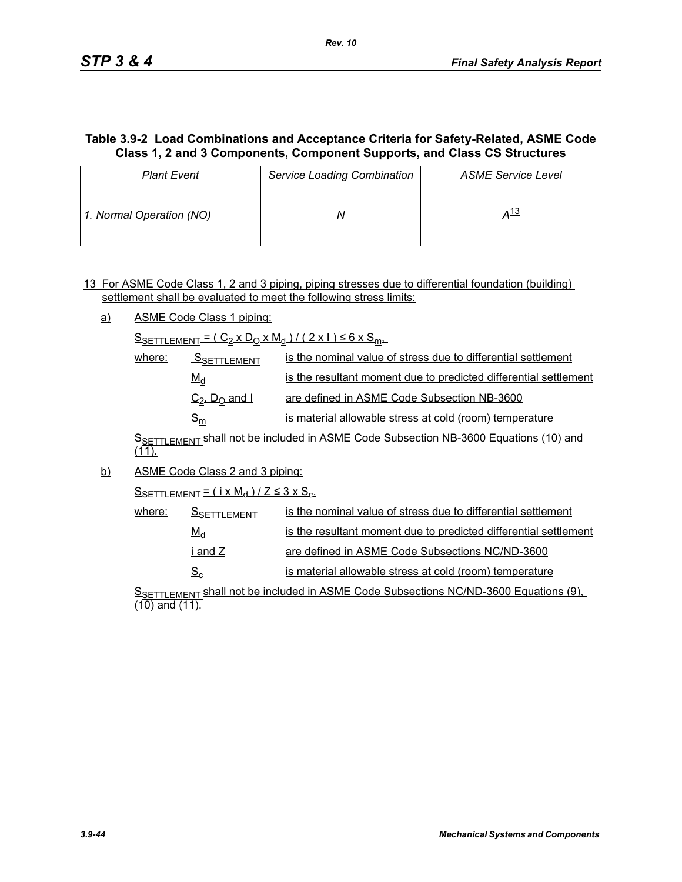## **Table 3.9-2 Load Combinations and Acceptance Criteria for Safety-Related, ASME Code Class 1, 2 and 3 Components, Component Supports, and Class CS Structures**

| <b>Plant Event</b>       | <b>Service Loading Combination</b> | <b>ASME Service Level</b> |  |  |
|--------------------------|------------------------------------|---------------------------|--|--|
|                          |                                    |                           |  |  |
| 1. Normal Operation (NO) |                                    | <u>д 13</u>               |  |  |
|                          |                                    |                           |  |  |

13 For ASME Code Class 1, 2 and 3 piping, piping stresses due to differential foundation (building) settlement shall be evaluated to meet the following stress limits:

a) ASME Code Class 1 piping:

 $S_{SETTLEMENT} = (C_2 \times D_0 \times M_d) / (2 \times 1) \le 6 \times S_{m+1}$ 

| where: | <b>SSETTLEMENT</b>                    | is the nominal value of stress due to differential settlement    |
|--------|---------------------------------------|------------------------------------------------------------------|
|        | $M_d$                                 | is the resultant moment due to predicted differential settlement |
|        | $C_2$ , $D_0$ and I                   | are defined in ASME Code Subsection NB-3600                      |
|        | $\mathsf{\underline{S}}_{\mathsf{m}}$ | is material allowable stress at cold (room) temperature          |

SSETTLEMENT Shall not be included in ASME Code Subsection NB-3600 Equations (10) and  $(11)$ .

b) ASME Code Class 2 and 3 piping:

 $S$ SETTLEMENT =  $(i \times M_d)/Z \leq 3 \times S_c$ 

| where: | <b>SSETTLEMENT</b> | is the nominal value of stress due to differential settlement    |
|--------|--------------------|------------------------------------------------------------------|
|        | $M_d$              | is the resultant moment due to predicted differential settlement |
|        | i and Z            | are defined in ASME Code Subsections NC/ND-3600                  |
|        | $S_{\rm c}$        | is material allowable stress at cold (room) temperature          |

S<sub>SETTLEMENT</sub> shall not be included in ASME Code Subsections NC/ND-3600 Equations (9), (10) and (11).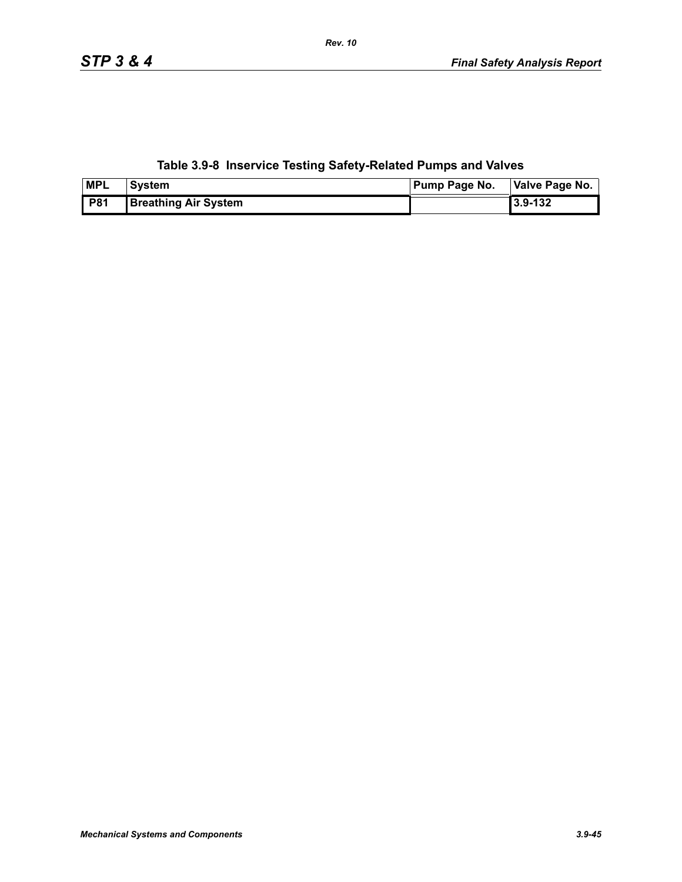**Table 3.9-8 Inservice Testing Safety-Related Pumps and Valves**

| <b>MPL</b> | <b>System</b>               | <b>Pump Page No.</b> | Valve Page No. |
|------------|-----------------------------|----------------------|----------------|
| <b>P81</b> | <b>Breathing Air System</b> |                      | 3.9-132        |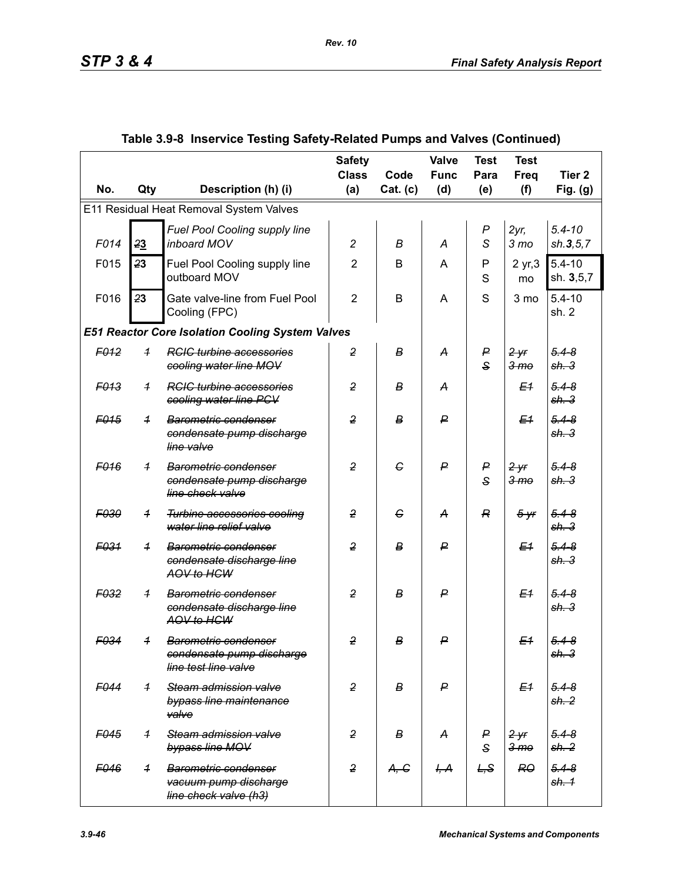|                  |                                         |                                                                                             | <b>Safety</b><br><b>Class</b> | Code     | Valve<br><b>Func</b> | <b>Test</b><br>Para   | <b>Test</b><br>Freq        | Tier <sub>2</sub>             |  |  |
|------------------|-----------------------------------------|---------------------------------------------------------------------------------------------|-------------------------------|----------|----------------------|-----------------------|----------------------------|-------------------------------|--|--|
| No.              | Qty                                     | Description (h) (i)                                                                         | (a)                           | Cat. (c) | (d)                  | (e)                   | (f)                        | Fig. $(g)$                    |  |  |
|                  | E11 Residual Heat Removal System Valves |                                                                                             |                               |          |                      |                       |                            |                               |  |  |
| F014             | 23                                      | Fuel Pool Cooling supply line<br>inboard MOV                                                | $\overline{c}$                | В        | A                    | $\boldsymbol{P}$<br>S | $2yr$ ,<br>3 <sub>mo</sub> | $5.4 - 10$<br>sh.3, 5, 7      |  |  |
| F015             | 23                                      | Fuel Pool Cooling supply line<br>outboard MOV                                               | $\overline{2}$                | B        | A                    | P<br>S                | 2 yr, 3<br>mo              | $5.4 - 10$<br>sh. 3,5,7       |  |  |
| F016             | 23                                      | Gate valve-line from Fuel Pool<br>Cooling (FPC)                                             | $\overline{2}$                | B        | A                    | S                     | 3 mo                       | $5.4 - 10$<br>sh. 2           |  |  |
|                  |                                         | <b>E51 Reactor Core Isolation Cooling System Valves</b>                                     |                               |          |                      |                       |                            |                               |  |  |
| F <sub>012</sub> | $\overline{1}$                          | <b>RCIC turbine accessories</b><br>cooling water line MOV                                   | $\overline{2}$                | В        | А                    | P<br>$\mathbf{s}$     | 2yr<br>3 <sub>mo</sub>     | $5.4 - 8$<br>sh.3             |  |  |
| F <sub>013</sub> | $\overline{1}$                          | <b>RGIG</b> turbine accessories<br>cooling water line PCV                                   | $\overline{2}$                | в        | A                    |                       | E <sub>1</sub>             | $5.4 - 8$<br>sh.3             |  |  |
| F <sub>015</sub> | $\overline{1}$                          | Barometric condenser<br>condensate pump discharge<br>line valve                             | $\overline{2}$                | B        | ₽                    |                       | E <sub>1</sub>             | $5.4 - 8$<br>sh.3             |  |  |
| F <sub>016</sub> | $\overline{1}$                          | Barometric condenser<br>condensate pump discharge<br>line check valve                       | $\overline{2}$                | G        | $\mathsf{P}$         | P<br>$\mathbf{s}$     | 2yr<br>3 <sub>mo</sub>     | $5.4 - 8$<br>sh.3             |  |  |
| F030             | $\overline{1}$                          | <b>Turbine accessories cooling</b><br>water line relief valve                               | $\overline{2}$                | G        | A                    | R                     | $5 - yr$                   | $5.4 - 8$<br>sh.3             |  |  |
| F <sub>031</sub> | $\overline{1}$                          | Barometric condenser<br>condensate discharge line<br>AOV to HCW                             | $\overline{2}$                | B        | ₽                    |                       | E <sub>1</sub>             | $5.4 - 8$<br>sh.3             |  |  |
| F <sub>032</sub> | $\overline{1}$                          | <b>Barometric condenser</b><br>condensate discharge line<br>AOV to HCW                      | $\overline{2}$                | в        | ₽                    |                       | E <sub>1</sub>             | $5.4 - 8$<br>sh.3             |  |  |
| F034             | $\overline{1}$                          | <b>Barometric condenser</b><br><del>condensate pump discharge</del><br>line test line valve | $\overline{2}$                | в        | $\mathsf{P}$         |                       | E <sub>1</sub>             | $5.4 - 8$<br><del>sh. 3</del> |  |  |
| F044             | $\overline{1}$                          | Steam admission valve<br>bypass line maintenance<br>valve                                   | $\overline{2}$                | B        | $\mathsf{P}$         |                       | E <sub>1</sub>             | $5.4 - 8$<br>sh.2             |  |  |
| F <sub>045</sub> | $\overline{1}$                          | Steam admission valve<br>bypass line MOV                                                    | $\overline{2}$                | в        | A                    | P<br>$\mathsf{s}$     | 2yr<br>3 <sub>mo</sub>     | $5.4 - 8$<br>sh. 2            |  |  |
| F046             | $\overline{1}$                          | <b>Barometric condenser</b><br>vacuum pump discharge<br>line check valve (h3)               | $\overline{2}$                | A, G     | H, A                 | L, S                  | RO                         | $5.4 - 8$<br>sh. 1            |  |  |

# **Table 3.9-8 Inservice Testing Safety-Related Pumps and Valves (Continued)**

*Rev. 10*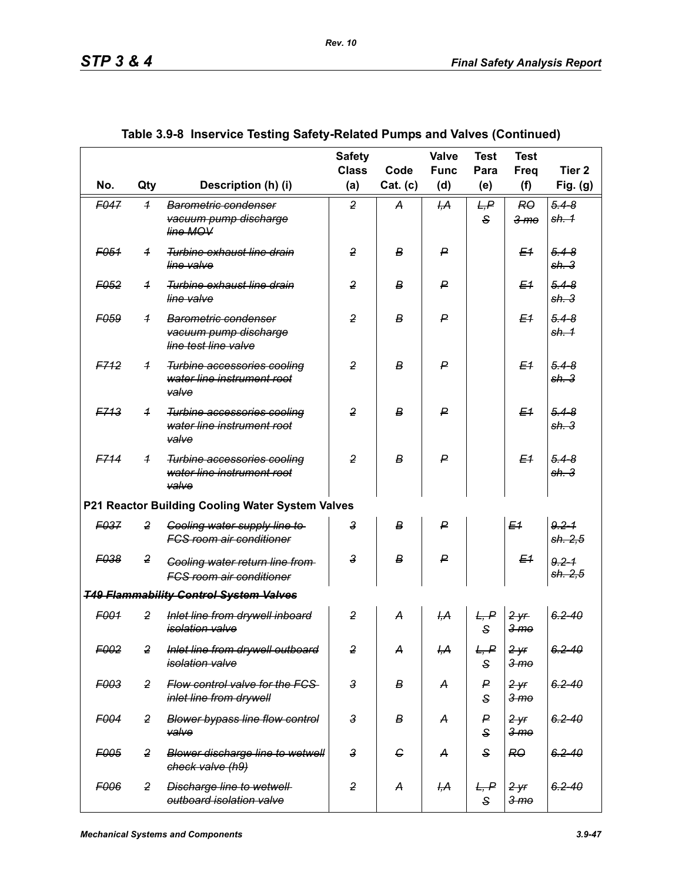|                  |                         |                                                                           | <b>Safety</b><br><b>Class</b> | Code             | <b>Valve</b><br><b>Func</b> | <b>Test</b><br>Para  | <b>Test</b><br><b>Freq</b>          | Tier <sub>2</sub>            |
|------------------|-------------------------|---------------------------------------------------------------------------|-------------------------------|------------------|-----------------------------|----------------------|-------------------------------------|------------------------------|
| No.              | Qty                     | Description (h) (i)                                                       | (a)                           | Cat. (c)         | (d)                         | (e)                  | (f)                                 | Fig. $(g)$                   |
| <b>E047</b>      | $\overline{\mathbf{1}}$ | Barometric condenser<br>vacuum pump discharge<br>line MOV                 | 2                             | A                | H <sub>2</sub>              | L, P<br>$\mathbf{s}$ | RO<br>3 <sub>mo</sub>               | $5.4 - 8$<br>sh. 1           |
| F <sub>051</sub> | $\overline{1}$          | Turbine exhaust line drain<br>line valve                                  | $\overline{2}$                | В                | ₽                           |                      | E <sub>1</sub>                      | $5.4 - 8$<br>sh.3            |
| F <sub>052</sub> | $\overline{1}$          | Turbine exhaust line drain<br>line valve                                  | $\overline{2}$                | В                | ₽                           |                      | E <sub>1</sub>                      | $5.4 - 8$<br>sh.3            |
| F <sub>059</sub> | $\overline{1}$          | Barometric condenser<br>vacuum pump discharge<br>line test line valve     | $\overline{2}$                | В                | ₽                           |                      | E1                                  | $5.4 - 8$<br>sh. 1           |
| F712             | $\overline{1}$          | Turbine accessories cooling<br>water line instrument root<br>valve        | $\overline{2}$                | B                | $\boldsymbol{P}$            |                      | E <sub>1</sub>                      | $5.4 - 8$<br>sh <sub>3</sub> |
| <b>EZ13</b>      | $\overline{1}$          | Turbine accessories cooling<br>water line instrument root<br>valve        | $\overline{2}$                | В                | $\boldsymbol{P}$            |                      | E <sub>1</sub>                      | $5.4 - 8$<br>sh.3            |
| <b>E714</b>      | $\overline{1}$          | Turbine accessories cooling<br>water line instrument root<br>valve        | 2                             | B                | $\boldsymbol{P}$            |                      | E <sub>1</sub>                      | $5.4 - 8$<br>sh <sub>3</sub> |
|                  |                         | P21 Reactor Building Cooling Water System Valves                          |                               |                  |                             |                      |                                     |                              |
| F037             | 2                       | Cooling water supply line to<br><b>FCS room air conditioner</b>           | 3                             | B                | $\boldsymbol{P}$            |                      | E <sub>1</sub>                      | $9.2 - 1$<br>sh. 2, 5        |
| F038             | $\overline{2}$          | <b>Cooling water return line from-</b><br><b>FGS room air conditioner</b> | 3                             | B                | ₽                           |                      | E <sub>1</sub>                      | $9.2 - 1$<br>sh. 2.5         |
|                  |                         | <b>T49 Flammability Control System Valves</b>                             |                               |                  |                             |                      |                                     |                              |
| F001             | $\overline{2}$          | Inlet line from drywell inboard<br><i>isolation</i> valve                 | 2                             | A                | H, A                        | L, P<br>S            | 2yr<br>$3 \,$ m $\sigma$            | $6.2 - 40$                   |
| F002             | $\overline{2}$          | Inlet line from drywell outboard<br>isolation valve                       | $\overline{2}$                | A                | I <del>,А</del>             | L, P<br>$\mathbf{s}$ | 2yr<br>3 <sub>mo</sub>              | $6.2 - 40$                   |
| F003             | $\overline{2}$          | Flow control valve for the FCS-<br>inlet line from drywell                | $\mathbf{3}$                  | в                | A                           | P<br>S               | 2 <sup>y</sup> f<br>3 <sub>mo</sub> | $6.2 - 40$                   |
| F004             | $\overline{2}$          | <b>Blower bypass line flow control</b><br>valve                           | $\mathbf{3}$                  | в                | A                           | P<br>S               | 2 <sup>y</sup><br>3 <sub>mo</sub>   | $6.2 - 40$                   |
| F005             | $\overline{2}$          | <b>Blower discharge line to wetwell</b><br>check valve (h9)               | $\mathbf{3}$                  | $\epsilon$       | A                           | $\mathsf{s}$         | R <sub>0</sub>                      | $6.2 - 40$                   |
| F006             | $\overline{2}$          | <b>Discharge line to wetwell-</b><br>outboard isolation valve             | $\overline{2}$                | $\boldsymbol{A}$ | <del>I,А</del>              | L, P<br>S            | 2yr<br>3 <sub>mo</sub>              | $6.2 - 40$                   |

### **Table 3.9-8 Inservice Testing Safety-Related Pumps and Valves (Continued)**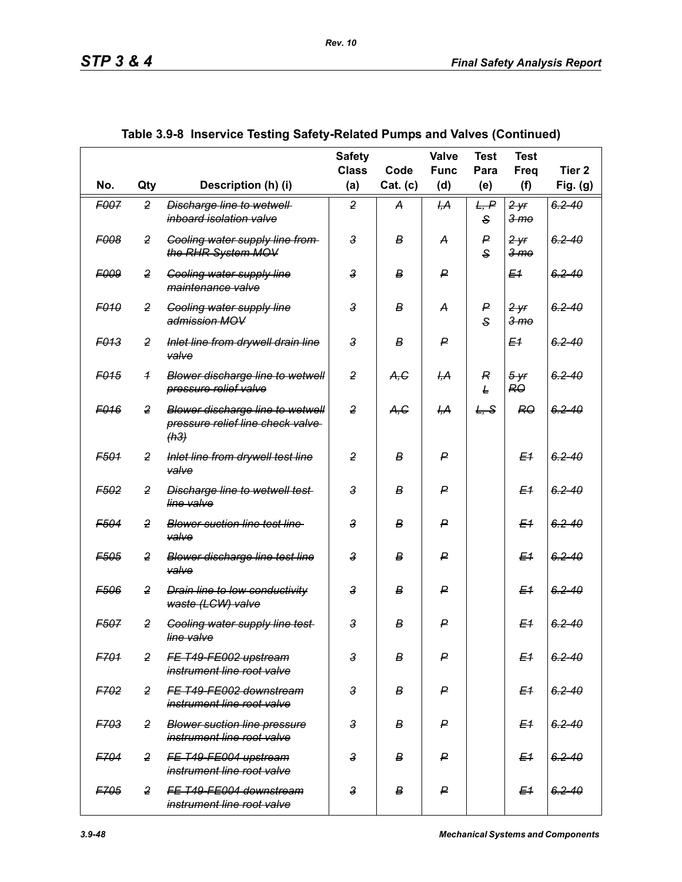|                  |                |                                                                              | <b>Safety</b><br><b>Class</b> | Code     | Valve<br><b>Func</b> | <b>Test</b><br>Para          | <b>Test</b><br>Freq                | Tier <sub>2</sub> |
|------------------|----------------|------------------------------------------------------------------------------|-------------------------------|----------|----------------------|------------------------------|------------------------------------|-------------------|
| No.              | Qty            | Description (h) (i)                                                          | (a)                           | Cat. (c) | (d)                  | (e)                          | (f)                                | Fig. (g)          |
| F007             | $\overline{2}$ | Discharge line to wetwell<br>inboard isolation valve                         | $\overline{2}$                | A        | ĻА                   | L, P<br>S                    | 2yr<br>3 <sub>mo</sub>             | $6.2 - 40$        |
| <b>F008</b>      | $\overline{2}$ | <b>Cooling water supply line from-</b><br>the RHR System MOV                 | $\mathbf{3}$                  | В        | A                    | P<br>$\mathbf{s}$            | <del>2 yr</del><br>3 <sub>mo</sub> | $6.2 - 40$        |
| <b>F009</b>      | $\overline{2}$ | <b>Cooling water supply line</b><br>maintenance valve                        | $\mathbf{3}$                  | B        | ₽                    |                              | E <sub>1</sub>                     | $6.2 - 40$        |
| <b>F010</b>      | $\overline{2}$ | <b>Cooling water supply line</b><br>admission MOV                            | $\mathbf{3}$                  | В        | A                    | $\mathsf{P}$<br>$\mathbf{s}$ | 2yr<br>3 <sub>mo</sub>             | $6.2 - 40$        |
| <b>F013</b>      | 2              | Inlet line from drywell drain line<br>valve                                  | 3                             | B        | P                    |                              | E <sub>1</sub>                     | $6, 2 - 40$       |
| F <sub>015</sub> | $\overline{1}$ | Blower discharge line to wetwell<br>pressure relief valve                    | $\overline{2}$                | A,C      | ĻА                   | $\overline{R}$<br>L          | $5 - yr$<br>RO                     | $6.2 - 40$        |
| F <sub>016</sub> | $\overline{2}$ | Blower discharge line to wetwell<br>pressure relief line check valve<br>(h3) | $\overline{2}$                | A, G     | <del>І,А</del>       | L, S                         | <b>RO</b>                          | $6.2 - 40$        |
| F501             | $\overline{2}$ | Inlet line from drywell test line<br>valve                                   | $\overline{2}$                | B        | P                    |                              | E <sub>1</sub>                     | $6.2 - 40$        |
| F <sub>502</sub> | $\overline{2}$ | <b>Discharge line to wetwell test-</b><br>line valve                         | $\mathbf{3}$                  | в        | ₽                    |                              | E <sub>1</sub>                     | $6.2 - 40$        |
| F <sub>504</sub> | $\overline{2}$ | <b>Blower suction line test line</b><br>valve                                | $\mathbf{3}$                  | в        | ₽                    |                              | E <sub>4</sub>                     | $6.2 - 40$        |
| F <sub>505</sub> | $\overline{2}$ | <b>Blower discharge line test line</b><br>valve                              | $\mathbf{3}$                  | в        | P                    |                              | E <sub>1</sub>                     | $6.2 - 40$        |
| F506             | $\overline{2}$ | <b>Drain line to low conductivity</b><br>waste (LCW) valve                   | $\mathbf{3}$                  | В        | ₽                    |                              | E <sub>1</sub>                     | $6.2 - 40$        |
| <b>F507</b>      | $\overline{2}$ | <b>Cooling water supply line test-</b><br>line valve                         | $\mathbf{3}$                  | B        | P                    |                              | E <sub>1</sub>                     | $6.2 - 40$        |
| F701             | $\overline{2}$ | FE T49-FE002 upstream<br>instrument line root valve                          | $\mathbf{3}$                  | В        | P                    |                              | E <sub>1</sub>                     | $6.2 - 40$        |
| F702             | $\overline{2}$ | FE T49-FE002 downstream<br>instrument line root valve                        | $\mathbf{3}$                  | B        | ₽                    |                              | E <sub>1</sub>                     | $6.2 - 40$        |
| <b>F703</b>      | $\overline{2}$ | <b>Blower suction line pressure</b><br>instrument line root valve            | $\mathbf{3}$                  | B        | ₽                    |                              | E <sub>1</sub>                     | $6.2 - 40$        |
| F704             | $\overline{2}$ | FE T49-FE004 upstream<br>instrument line root valve                          | $\mathbf{3}$                  | B        | ₽                    |                              | E <sub>1</sub>                     | $6.2 - 40$        |
| F705             | $\overline{2}$ | FE T49-FE004 downstream<br>instrument line root valve                        | $\overline{3}$                | B        | ₽                    |                              | E <sub>1</sub>                     | $6.2 - 40$        |

|  | Table 3.9-8  Inservice Testing Safety-Related Pumps and Valves (Continued) |  |
|--|----------------------------------------------------------------------------|--|
|  |                                                                            |  |